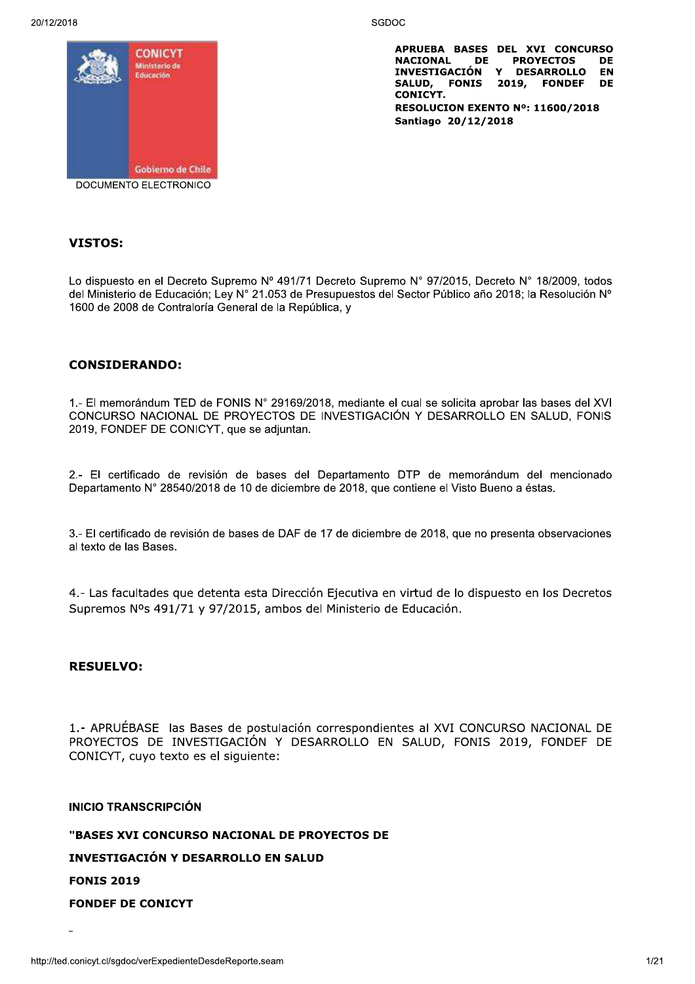20/12/2018



APRUEBA BASES DEL XVI CONCURSO NACIONAL DE PROYECTOS<br>INVESTIGACIÓN Y DESARROLLO **DE EN** SALUD, FONIS 2019, FONDEF **DE CONICYT.** RESOLUCION EXENTO Nº: 11600/2018 Santiago 20/12/2018

# **VISTOS:**

Lo dispuesto en el Decreto Supremo Nº 491/71 Decreto Supremo Nº 97/2015, Decreto Nº 18/2009, todos del Ministerio de Educación; Ley Nº 21.053 de Presupuestos del Sector Público año 2018; la Resolución Nº 1600 de 2008 de Contraloría General de la República, y

SGDOC

## **CONSIDERANDO:**

1.- El memorándum TED de FONIS N° 29169/2018, mediante el cual se solicita aprobar las bases del XVI CONCURSO NACIONAL DE PROYECTOS DE INVESTIGACIÓN Y DESARROLLO EN SALUD, FONIS 2019, FONDEF DE CONICYT, que se adjuntan.

2.- El certificado de revisión de bases del Departamento DTP de memorándum del mencionado Departamento N° 28540/2018 de 10 de diciembre de 2018, que contiene el Visto Bueno a éstas.

3.- El certificado de revisión de bases de DAF de 17 de diciembre de 2018, que no presenta observaciones al texto de las Bases.

4.- Las facultades que detenta esta Dirección Ejecutiva en virtud de lo dispuesto en los Decretos Supremos Nºs 491/71 y 97/2015, ambos del Ministerio de Educación.

#### **RESUELVO:**

1.- APRUÉBASE las Bases de postulación correspondientes al XVI CONCURSO NACIONAL DE PROYECTOS DE INVESTIGACIÓN Y DESARROLLO EN SALUD, FONIS 2019, FONDEF DE CONICYT, cuyo texto es el siguiente:

#### **INICIO TRANSCRIPCIÓN**

"BASES XVI CONCURSO NACIONAL DE PROYECTOS DE

INVESTIGACIÓN Y DESARROLLO EN SALUD

**FONIS 2019** 

**FONDEF DE CONICYT**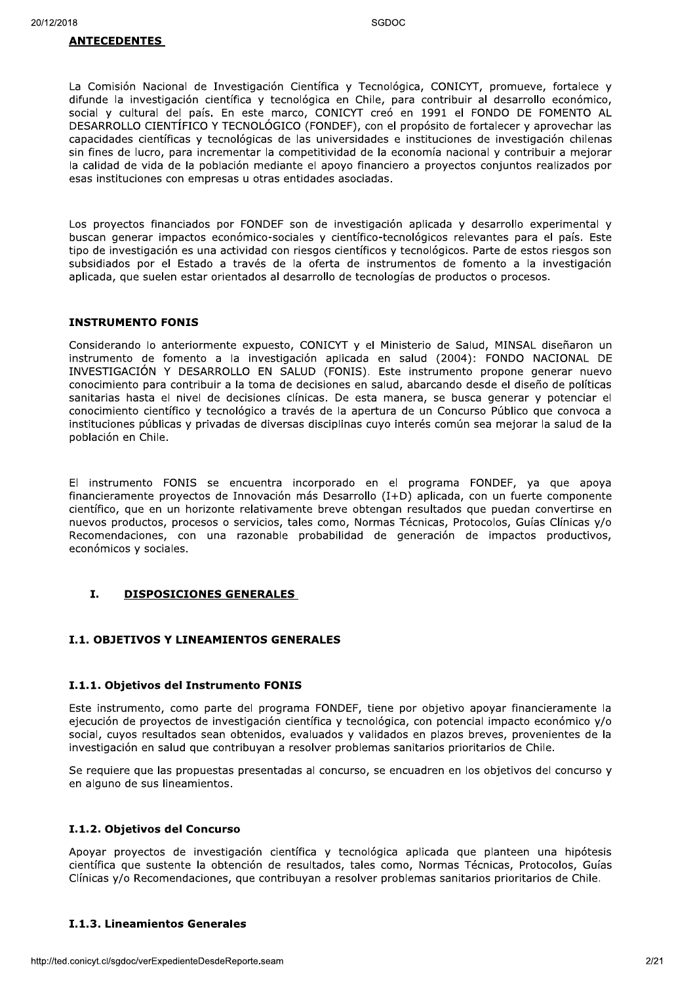La Comisión Nacional de Investigación Científica y Tecnológica, CONICYT, promueve, fortalece y difunde la investigación científica y tecnológica en Chile, para contribuir al desarrollo económico, social y cultural del país. En este marco, CONICYT creó en 1991 el FONDO DE FOMENTO AL DESARROLLO CIENTÍFICO Y TECNOLÓGICO (FONDEF), con el propósito de fortalecer y aprovechar las capacidades científicas y tecnológicas de las universidades e instituciones de investigación chilenas sin fines de lucro, para incrementar la competitividad de la economía nacional y contribuir a mejorar la calidad de vida de la población mediante el apoyo financiero a proyectos conjuntos realizados por esas instituciones con empresas u otras entidades asociadas.

Los proyectos financiados por FONDEF son de investigación aplicada y desarrollo experimental y buscan generar impactos económico-sociales y científico-tecnológicos relevantes para el país. Este tipo de investigación es una actividad con riesgos científicos y tecnológicos. Parte de estos riesgos son subsidiados por el Estado a través de la oferta de instrumentos de fomento a la investigación aplicada, que suelen estar orientados al desarrollo de tecnologías de productos o procesos.

#### **INSTRUMENTO FONIS**

Considerando lo anteriormente expuesto, CONICYT y el Ministerio de Salud, MINSAL diseñaron un instrumento de fomento a la investigación aplicada en salud (2004): FONDO NACIONAL DE INVESTIGACIÓN Y DESARROLLO EN SALUD (FONIS). Este instrumento propone generar nuevo conocimiento para contribuir a la toma de decisiones en salud, abarcando desde el diseño de políticas sanitarias hasta el nivel de decisiones clínicas. De esta manera, se busca generar y potenciar el conocimiento científico y tecnológico a través de la apertura de un Concurso Público que convoca a instituciones públicas y privadas de diversas disciplinas cuyo interés común sea mejorar la salud de la población en Chile.

El instrumento FONIS se encuentra incorporado en el programa FONDEF, ya que apoya financieramente provectos de Innovación más Desarrollo (I+D) aplicada, con un fuerte componente científico, que en un horizonte relativamente breve obtengan resultados que puedan convertirse en nuevos productos, procesos o servicios, tales como, Normas Técnicas, Protocolos, Guías Clínicas y/o Recomendaciones, con una razonable probabilidad de generación de impactos productivos, económicos y sociales.

#### $\mathbf{T}$ . **DISPOSICIONES GENERALES**

#### **I.1. OBJETIVOS Y LINEAMIENTOS GENERALES**

#### I.1.1. Objetivos del Instrumento FONIS

Este instrumento, como parte del programa FONDEF, tiene por objetivo apoyar financieramente la ejecución de proyectos de investigación científica y tecnológica, con potencial impacto económico y/o social, cuyos resultados sean obtenidos, evaluados y validados en plazos breves, provenientes de la investigación en salud que contribuyan a resolver problemas sanitarios prioritarios de Chile.

Se requiere que las propuestas presentadas al concurso, se encuadren en los objetivos del concurso y en alguno de sus lineamientos.

#### I.1.2. Objetivos del Concurso

Apoyar proyectos de investigación científica y tecnológica aplicada que planteen una hipótesis científica que sustente la obtención de resultados, tales como, Normas Técnicas, Protocolos, Guías Clínicas y/o Recomendaciones, que contribuyan a resolver problemas sanitarios prioritarios de Chile.

#### **I.1.3. Lineamientos Generales**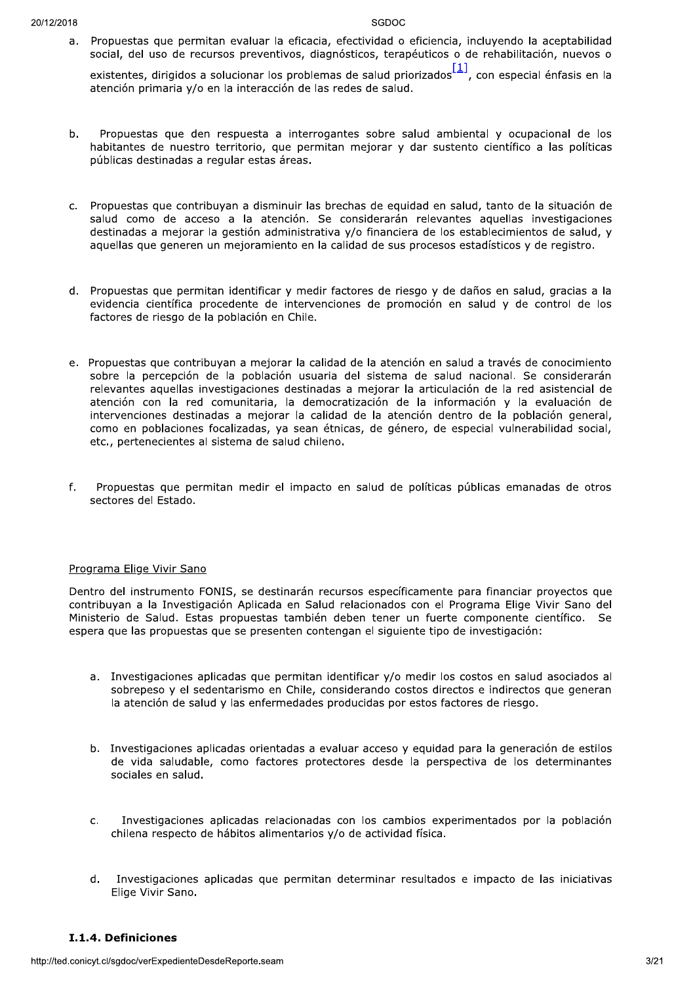a. Propuestas que permitan evaluar la eficacia, efectividad o eficiencia, incluyendo la aceptabilidad social, del uso de recursos preventivos, diagnósticos, terapéuticos o de rehabilitación, nuevos o

existentes, dirigidos a solucionar los problemas de salud priorizados  $\frac{[1]}{[1]}$ , con especial énfasis en la atención primaria y/o en la interacción de las redes de salud.

- b. Propuestas que den respuesta a interrogantes sobre salud ambiental y ocupacional de los habitantes de nuestro territorio, que permitan mejorar y dar sustento científico a las políticas públicas destinadas a regular estas áreas.
- c. Propuestas que contribuyan a disminuir las brechas de equidad en salud, tanto de la situación de salud como de acceso a la atención. Se considerarán relevantes aquellas investigaciones destinadas a mejorar la gestión administrativa y/o financiera de los establecimientos de salud, y aquellas que generen un mejoramiento en la calidad de sus procesos estadísticos y de registro.
- d. Propuestas que permitan identificar y medir factores de riesgo y de daños en salud, gracias a la evidencia científica procedente de intervenciones de promoción en salud y de control de los factores de riesgo de la población en Chile.
- e. Propuestas que contribuyan a mejorar la calidad de la atención en salud a través de conocimiento sobre la percepción de la población usuaria del sistema de salud nacional. Se considerarán relevantes aquellas investigaciones destinadas a mejorar la articulación de la red asistencial de atención con la red comunitaria, la democratización de la información y la evaluación de intervenciones destinadas a mejorar la calidad de la atención dentro de la población general, como en poblaciones focalizadas, ya sean étnicas, de género, de especial vulnerabilidad social, etc., pertenecientes al sistema de salud chileno.
- $f_{\perp}$ Propuestas que permitan medir el impacto en salud de políticas públicas emanadas de otros sectores del Estado.

#### Programa Elige Vivir Sano

Dentro del instrumento FONIS, se destinarán recursos específicamente para financiar provectos que contribuyan a la Investigación Aplicada en Salud relacionados con el Programa Elige Vivir Sano del Ministerio de Salud. Estas propuestas también deben tener un fuerte componente científico. Se espera que las propuestas que se presenten contengan el siguiente tipo de investigación:

- a. Investigaciones aplicadas que permitan identificar y/o medir los costos en salud asociados al sobrepeso y el sedentarismo en Chile, considerando costos directos e indirectos que generan la atención de salud y las enfermedades producidas por estos factores de riesgo.
- b. Investigaciones aplicadas orientadas a evaluar acceso y equidad para la generación de estilos de vida saludable, como factores protectores desde la perspectiva de los determinantes sociales en salud.
- Investigaciones aplicadas relacionadas con los cambios experimentados por la población  $C<sub>1</sub>$ chilena respecto de hábitos alimentarios y/o de actividad física.
- Investigaciones aplicadas que permitan determinar resultados e impacto de las iniciativas  $\mathsf{d}$ Elige Vivir Sano.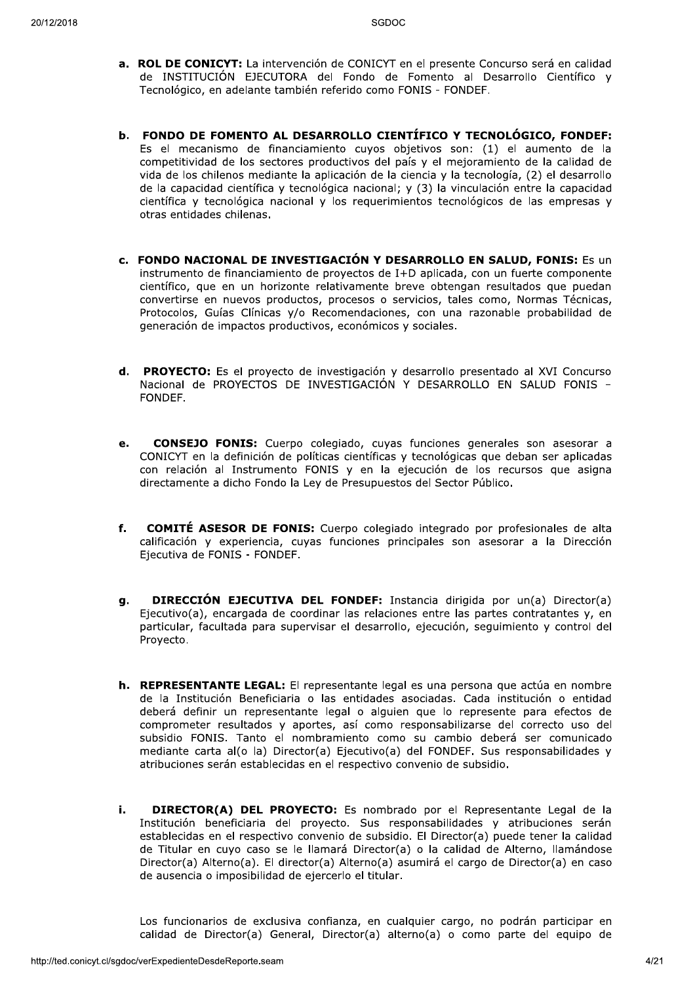- a. ROL DE CONICYT: La intervención de CONICYT en el presente Concurso será en calidad de INSTITUCIÓN EJECUTORA del Fondo de Fomento al Desarrollo Científico y Tecnológico, en adelante también referido como FONIS - FONDEF.
- b. FONDO DE FOMENTO AL DESARROLLO CIENTÍFICO Y TECNOLÓGICO, FONDEF: Es el mecanismo de financiamiento cuyos objetivos son: (1) el aumento de la competitividad de los sectores productivos del país y el mejoramiento de la calidad de vida de los chilenos mediante la aplicación de la ciencia y la tecnología. (2) el desarrollo de la capacidad científica y tecnológica nacional; y (3) la vinculación entre la capacidad científica y tecnológica nacional y los reguerimientos tecnológicos de las empresas y otras entidades chilenas.
- c. FONDO NACIONAL DE INVESTIGACIÓN Y DESARROLLO EN SALUD, FONIS: Es un instrumento de financiamiento de proyectos de I+D aplicada, con un fuerte componente científico, que en un horizonte relativamente breve obtengan resultados que puedan convertirse en nuevos productos, procesos o servicios, tales como, Normas Técnicas, Protocolos, Guías Clínicas y/o Recomendaciones, con una razonable probabilidad de generación de impactos productivos, económicos y sociales.
- d. PROYECTO: Es el proyecto de investigación y desarrollo presentado al XVI Concurso Nacional de PROYECTOS DE INVESTIGACIÓN Y DESARROLLO EN SALUD FONIS -FONDEF.
- **CONSEJO FONIS:** Cuerpo colegiado, cuvas funciones generales son asesorar a  $\mathbf{e}$ . CONICYT en la definición de políticas científicas y tecnológicas que deban ser aplicadas con relación al Instrumento FONIS y en la ejecución de los recursos que asigna directamente a dicho Fondo la Ley de Presupuestos del Sector Público.
- $f_{\rm{r}}$ **COMITÉ ASESOR DE FONIS:** Cuerpo colegiado integrado por profesionales de alta calificación y experiencia, cuyas funciones principales son asesorar a la Dirección Ejecutiva de FONIS - FONDEF.
- **DIRECCIÓN EJECUTIVA DEL FONDEF:** Instancia dirigida por un(a) Director(a) q. Ejecutivo(a), encargada de coordinar las relaciones entre las partes contratantes y, en particular, facultada para supervisar el desarrollo, ejecución, seguimiento y control del Provecto.
- h. REPRESENTANTE LEGAL: El representante legal es una persona que actúa en nombre de la Institución Beneficiaria o las entidades asociadas. Cada institución o entidad deberá definir un representante legal o alguien que lo represente para efectos de comprometer resultados y aportes, así como responsabilizarse del correcto uso del subsidio FONIS. Tanto el nombramiento como su cambio deberá ser comunicado mediante carta al(o la) Director(a) Ejecutivo(a) del FONDEF. Sus responsabilidades y atribuciones serán establecidas en el respectivo convenio de subsidio.
- i. DIRECTOR(A) DEL PROYECTO: Es nombrado por el Representante Legal de la Institución beneficiaria del proyecto. Sus responsabilidades y atribuciones serán establecidas en el respectivo convenio de subsidio. El Director(a) puede tener la calidad de Titular en cuyo caso se le llamará Director(a) o la calidad de Alterno, llamándose Director(a) Alterno(a). El director(a) Alterno(a) asumirá el cargo de Director(a) en caso de ausencia o imposibilidad de ejercerlo el titular.

Los funcionarios de exclusiva confianza, en cualquier cargo, no podrán participar en calidad de Director(a) General, Director(a) alterno(a) o como parte del equipo de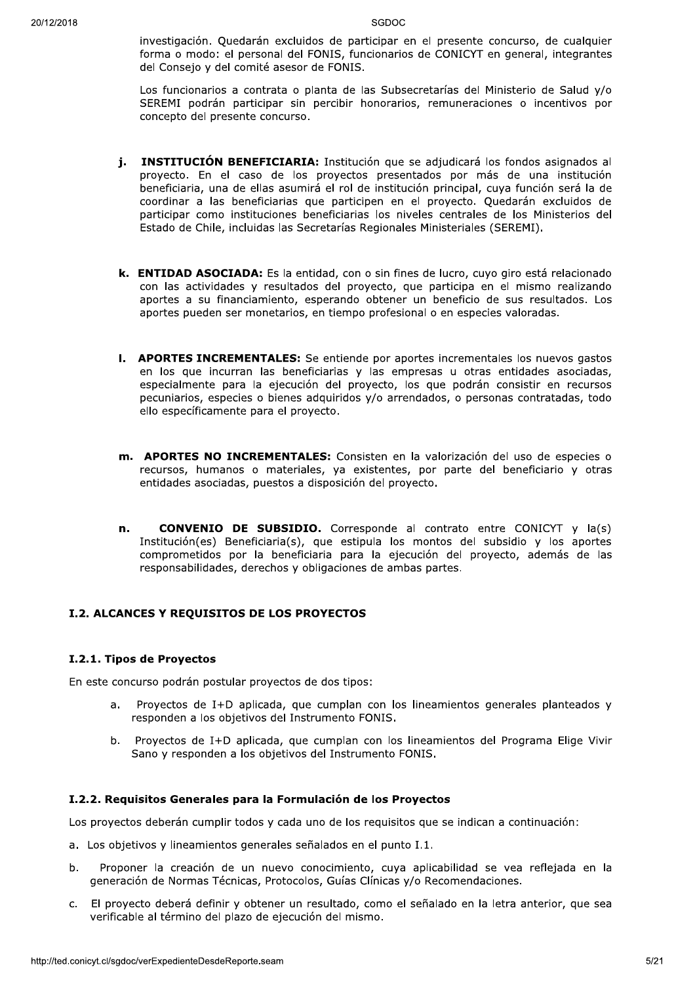investigación. Quedarán excluidos de participar en el presente concurso, de cualquier forma o modo: el personal del FONIS, funcionarios de CONICYT en general, integrantes del Consejo y del comité asesor de FONIS.

Los funcionarios a contrata o planta de las Subsecretarías del Ministerio de Salud y/o SEREMI podrán participar sin percibir honorarios, remuneraciones o incentivos por concepto del presente concurso.

- j. INSTITUCIÓN BENEFICIARIA: Institución que se adjudicará los fondos asignados al proyecto. En el caso de los proyectos presentados por más de una institución beneficiaria, una de ellas asumirá el rol de institución principal, cuya función será la de coordinar a las beneficiarias que participen en el proyecto. Quedarán excluidos de participar como instituciones beneficiarias los niveles centrales de los Ministerios del Estado de Chile, incluidas las Secretarías Regionales Ministeriales (SEREMI).
- k. ENTIDAD ASOCIADA: Es la entidad, con o sin fines de lucro, cuyo giro está relacionado con las actividades y resultados del proyecto, que participa en el mismo realizando aportes a su financiamiento, esperando obtener un beneficio de sus resultados. Los aportes pueden ser monetarios, en tiempo profesional o en especies valoradas.
- I. APORTES INCREMENTALES: Se entiende por aportes incrementales los nuevos gastos en los que incurran las beneficiarias y las empresas u otras entidades asociadas, especialmente para la ejecución del proyecto, los que podrán consistir en recursos pecuniarios, especies o bienes adquiridos y/o arrendados, o personas contratadas, todo ello específicamente para el proyecto.
- m. APORTES NO INCREMENTALES: Consisten en la valorización del uso de especies o recursos, humanos o materiales, va existentes, por parte del beneficiario y otras entidades asociadas, puestos a disposición del proyecto.
- n. **CONVENIO DE SUBSIDIO.** Corresponde al contrato entre CONICYT y la(s) Institución (es) Beneficiaria (s), que estipula los montos del subsidio y los aportes comprometidos por la beneficiaria para la ejecución del proyecto, además de las responsabilidades, derechos y obligaciones de ambas partes.

## I.2. ALCANCES Y REQUISITOS DE LOS PROYECTOS

#### I.2.1. Tipos de Proyectos

En este concurso podrán postular proyectos de dos tipos:

- $a.$ Proyectos de I+D aplicada, que cumplan con los lineamientos generales planteados y responden a los objetivos del Instrumento FONIS.
- b. Proyectos de I+D aplicada, que cumplan con los lineamientos del Programa Elige Vivir Sano y responden a los objetivos del Instrumento FONIS.

#### I.2.2. Requisitos Generales para la Formulación de los Proyectos

Los proyectos deberán cumplir todos y cada uno de los requisitos que se indican a continuación:

- a. Los objetivos y lineamientos generales señalados en el punto I.1.
- Proponer la creación de un nuevo conocimiento, cuya aplicabilidad se vea reflejada en la h. generación de Normas Técnicas, Protocolos, Guías Clínicas y/o Recomendaciones.
- c. El proyecto deberá definir y obtener un resultado, como el señalado en la letra anterior, que sea verificable al término del plazo de ejecución del mismo.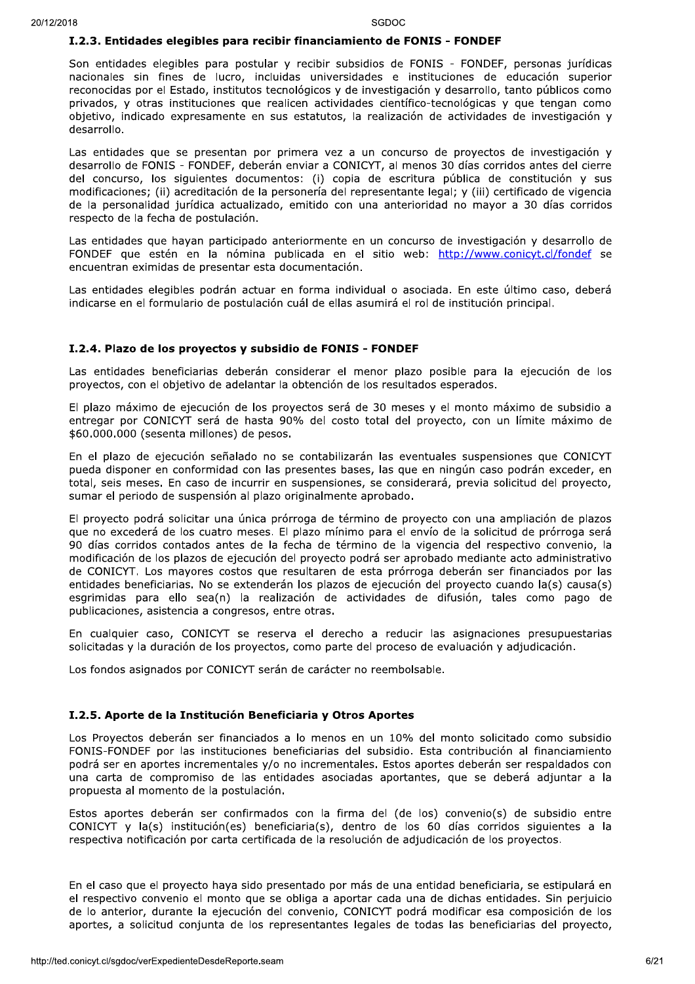#### I.2.3. Entidades elegibles para recibir financiamiento de FONIS - FONDEF

Son entidades elegibles para postular y recibir subsidios de FONIS - FONDEF, personas jurídicas nacionales sin fines de lucro, incluidas universidades e instituciones de educación superior reconocidas por el Estado, institutos tecnológicos y de investigación y desarrollo, tanto públicos como privados, y otras instituciones que realicen actividades científico-tecnológicas y que tengan como objetivo, indicado expresamente en sus estatutos, la realización de actividades de investigación y desarrollo.

Las entidades que se presentan por primera vez a un concurso de proyectos de investigación y desarrollo de FONIS - FONDEF, deberán enviar a CONICYT, al menos 30 días corridos antes del cierre del concurso, los siguientes documentos: (i) copia de escritura pública de constitución y sus modificaciones; (ii) acreditación de la personería del representante legal; y (iii) certificado de vigencia de la personalidad jurídica actualizado, emitido con una anterioridad no mayor a 30 días corridos respecto de la fecha de postulación.

Las entidades que hayan participado anteriormente en un concurso de investigación y desarrollo de FONDEF que estén en la nómina publicada en el sitio web: http://www.conicyt.cl/fondef se encuentran eximidas de presentar esta documentación.

Las entidades elegibles podrán actuar en forma individual o asociada. En este último caso, deberá indicarse en el formulario de postulación cuál de ellas asumirá el rol de institución principal.

#### I.2.4. Plazo de los provectos y subsidio de FONIS - FONDEF

Las entidades beneficiarias deberán considerar el menor plazo posible para la ejecución de los proyectos, con el objetivo de adelantar la obtención de los resultados esperados.

El plazo máximo de ejecución de los proyectos será de 30 meses y el monto máximo de subsidio a entregar por CONICYT será de hasta 90% del costo total del proyecto, con un límite máximo de \$60.000.000 (sesenta millones) de pesos.

En el plazo de ejecución señalado no se contabilizarán las eventuales suspensiones que CONICYT pueda disponer en conformidad con las presentes bases, las que en ningún caso podrán exceder, en total, seis meses. En caso de incurrir en suspensiones, se considerará, previa solicitud del proyecto, sumar el periodo de suspensión al plazo originalmente aprobado.

El proyecto podrá solicitar una única prórroga de término de proyecto con una ampliación de plazos que no excederá de los cuatro meses. El plazo mínimo para el envío de la solicitud de prórroga será 90 días corridos contados antes de la fecha de término de la vigencia del respectivo convenio, la modificación de los plazos de ejecución del proyecto podrá ser aprobado mediante acto administrativo de CONICYT. Los mayores costos que resultaren de esta prórroga deberán ser financiados por las entidades beneficiarias. No se extenderán los plazos de ejecución del proyecto cuando la(s) causa(s) esgrimidas para ello sea(n) la realización de actividades de difusión, tales como pago de publicaciones, asistencia a congresos, entre otras.

En cualquier caso, CONICYT se reserva el derecho a reducir las asignaciones presupuestarias solicitadas y la duración de los proyectos, como parte del proceso de evaluación y adjudicación.

Los fondos asignados por CONICYT serán de carácter no reembolsable.

#### I.2.5. Aporte de la Institución Beneficiaria y Otros Aportes

Los Proyectos deberán ser financiados a lo menos en un 10% del monto solicitado como subsidio FONIS-FONDEF por las instituciones beneficiarias del subsidio. Esta contribución al financiamiento podrá ser en aportes incrementales y/o no incrementales. Estos aportes deberán ser respaldados con una carta de compromiso de las entidades asociadas aportantes, que se deberá adjuntar a la propuesta al momento de la postulación.

Estos aportes deberán ser confirmados con la firma del (de los) convenio(s) de subsidio entre CONICYT y la(s) institución(es) beneficiaria(s), dentro de los 60 días corridos siguientes a la respectiva notificación por carta certificada de la resolución de adiudicación de los provectos.

En el caso que el proyecto haya sido presentado por más de una entidad beneficiaria, se estipulará en el respectivo convenio el monto que se obliga a aportar cada una de dichas entidades. Sin perjuicio de lo anterior, durante la ejecución del convenio, CONICYT podrá modificar esa composición de los aportes, a solicitud conjunta de los representantes legales de todas las beneficiarias del proyecto,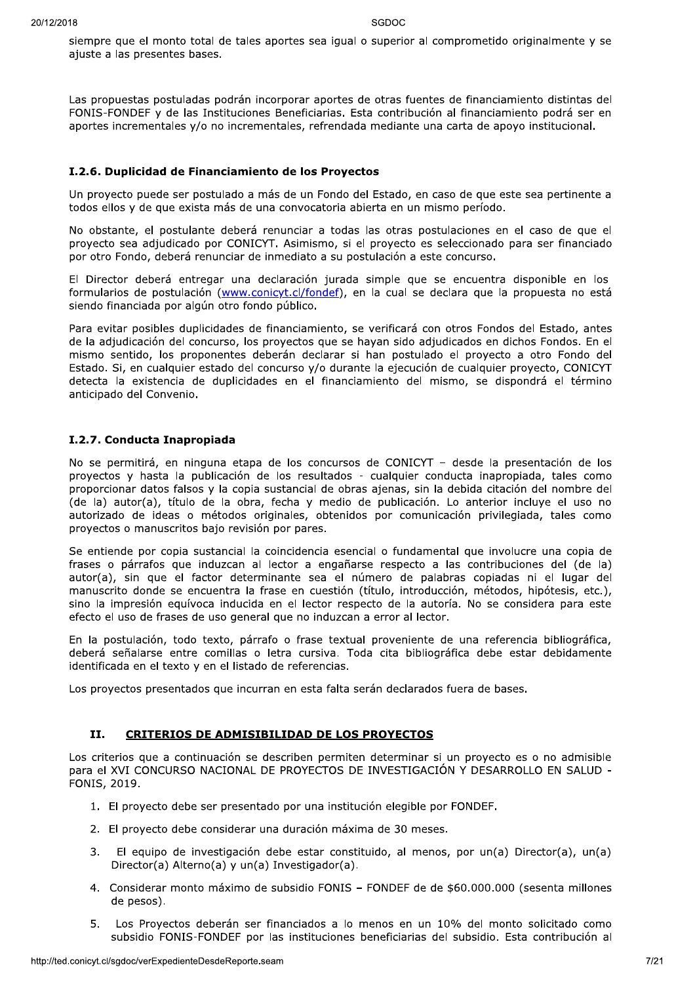siempre que el monto total de tales aportes sea igual o superior al comprometido originalmente y se ajuste a las presentes bases.

Las propuestas postuladas podrán incorporar aportes de otras fuentes de financiamiento distintas del FONIS-FONDEF y de las Instituciones Beneficiarias. Esta contribución al financiamiento podrá ser en aportes incrementales y/o no incrementales, refrendada mediante una carta de apoyo institucional.

#### I.2.6. Duplicidad de Financiamiento de los Proyectos

Un proyecto puede ser postulado a más de un Fondo del Estado, en caso de que este sea pertinente a todos ellos y de que exista más de una convocatoria abierta en un mismo período.

No obstante, el postulante deberá renunciar a todas las otras postulaciones en el caso de que el proyecto sea adjudicado por CONICYT. Asimismo, si el proyecto es seleccionado para ser financiado por otro Fondo, deberá renunciar de inmediato a su postulación a este concurso.

El Director deberá entregar una declaración jurada simple que se encuentra disponible en los formularios de postulación (www.conicyt.cl/fondef), en la cual se declara que la propuesta no está siendo financiada por algún otro fondo público.

Para evitar posibles duplicidades de financiamiento, se verificará con otros Fondos del Estado, antes de la adjudicación del concurso, los provectos que se havan sido adjudicados en dichos Fondos. En el mismo sentido, los proponentes deberán declarar si han postulado el proyecto a otro Fondo del Estado. Si, en cualquier estado del concurso y/o durante la ejecución de cualquier proyecto, CONICYT detecta la existencia de duplicidades en el financiamiento del mismo, se dispondrá el término anticipado del Convenio.

#### I.2.7. Conducta Inapropiada

No se permitirá, en ninguna etapa de los concursos de CONICYT - desde la presentación de los proyectos y hasta la publicación de los resultados - cualquier conducta inapropiada, tales como proporcionar datos falsos y la copia sustancial de obras ajenas, sin la debida citación del nombre del (de la) autor(a), título de la obra, fecha y medio de publicación. Lo anterior incluye el uso no autorizado de ideas o métodos originales, obtenidos por comunicación privilegiada, tales como proyectos o manuscritos bajo revisión por pares.

Se entiende por copia sustancial la coincidencia esencial o fundamental que involucre una copia de frases o párrafos que induzcan al lector a engañarse respecto a las contribuciones del (de la) autor(a), sin que el factor determinante sea el número de palabras copiadas ni el lugar del manuscrito donde se encuentra la frase en cuestión (título, introducción, métodos, hipótesis, etc.), sino la impresión equívoca inducida en el lector respecto de la autoría. No se considera para este efecto el uso de frases de uso general que no induzcan a error al lector.

En la postulación, todo texto, párrafo o frase textual proveniente de una referencia bibliográfica, deberá señalarse entre comillas o letra cursiva. Toda cita bibliográfica debe estar debidamente identificada en el texto y en el listado de referencias.

Los provectos presentados que incurran en esta falta serán declarados fuera de bases.

#### II. **CRITERIOS DE ADMISIBILIDAD DE LOS PROYECTOS**

Los criterios que a continuación se describen permiten determinar si un proyecto es o no admisible para el XVI CONCURSO NACIONAL DE PROYECTOS DE INVESTIGACIÓN Y DESARROLLO EN SALUD -FONIS, 2019.

- 1. El proyecto debe ser presentado por una institución elegible por FONDEF.
- 2. El proyecto debe considerar una duración máxima de 30 meses.
- El equipo de investigación debe estar constituido, al menos, por un(a) Director(a), un(a)  $3.$ Director(a) Alterno(a) y un(a) Investigador(a).
- 4. Considerar monto máximo de subsidio FONIS FONDEF de de \$60.000.000 (sesenta millones de pesos).
- Los Proyectos deberán ser financiados a lo menos en un 10% del monto solicitado como 5. subsidio FONIS-FONDEF por las instituciones beneficiarias del subsidio. Esta contribución al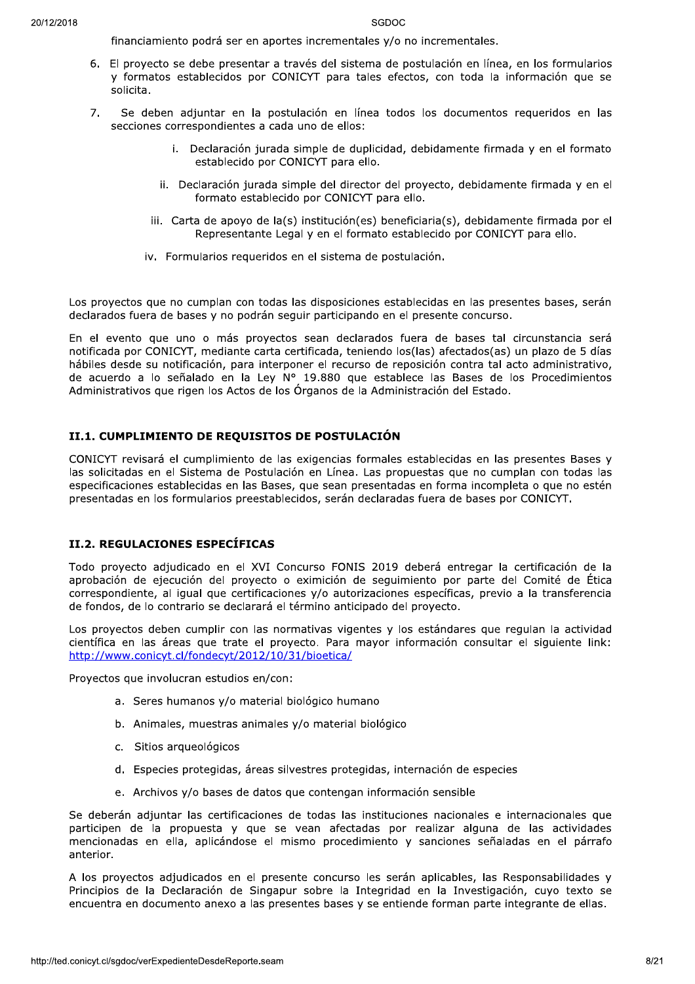financiamiento podrá ser en aportes incrementales y/o no incrementales.

- 6. El proyecto se debe presentar a través del sistema de postulación en línea, en los formularios y formatos establecidos por CONICYT para tales efectos, con toda la información que se solicita.
- $7<sub>1</sub>$ Se deben adjuntar en la postulación en línea todos los documentos requeridos en las secciones correspondientes a cada uno de ellos:
	- i. Declaración jurada simple de duplicidad, debidamente firmada y en el formato establecido por CONICYT para ello.
	- ii. Declaración jurada simple del director del proyecto, debidamente firmada y en el formato establecido por CONICYT para ello.
	- iii. Carta de apoyo de la(s) institución(es) beneficiaria(s), debidamente firmada por el Representante Legal y en el formato establecido por CONICYT para ello.
	- iv. Formularios requeridos en el sistema de postulación.

Los proyectos que no cumplan con todas las disposiciones establecidas en las presentes bases, serán declarados fuera de bases y no podrán seguir participando en el presente concurso.

En el evento que uno o más proyectos sean declarados fuera de bases tal circunstancia será notificada por CONICYT, mediante carta certificada, teniendo los(las) afectados(as) un plazo de 5 días hábiles desde su notificación, para interponer el recurso de reposición contra tal acto administrativo, de acuerdo a lo señalado en la Ley Nº 19.880 que establece las Bases de los Procedimientos Administrativos que rigen los Actos de los Órganos de la Administración del Estado.

#### II.1. CUMPLIMIENTO DE REQUISITOS DE POSTULACIÓN

CONICYT revisará el cumplimiento de las exigencias formales establecidas en las presentes Bases y las solicitadas en el Sistema de Postulación en Línea. Las propuestas que no cumplan con todas las especificaciones establecidas en las Bases, que sean presentadas en forma incompleta o que no estén presentadas en los formularios preestablecidos, serán declaradas fuera de bases por CONICYT.

#### II.2. REGULACIONES ESPECÍFICAS

Todo proyecto adjudicado en el XVI Concurso FONIS 2019 deberá entregar la certificación de la aprobación de ejecución del proyecto o eximición de seguimiento por parte del Comité de Ética correspondiente, al igual que certificaciones y/o autorizaciones específicas, previo a la transferencia de fondos, de lo contrario se declarará el término anticipado del proyecto.

Los proyectos deben cumplir con las normativas vigentes y los estándares que regulan la actividad científica en las áreas que trate el proyecto. Para mayor información consultar el siguiente link: http://www.conicyt.cl/fondecyt/2012/10/31/bioetica/

Proyectos que involucran estudios en/con:

- a. Seres humanos y/o material biológico humano
- b. Animales, muestras animales y/o material biológico
- c. Sitios arqueológicos
- d. Especies protegidas, áreas silvestres protegidas, internación de especies
- e. Archivos y/o bases de datos que contengan información sensible

Se deberán adjuntar las certificaciones de todas las instituciones nacionales e internacionales que participen de la propuesta y que se vean afectadas por realizar alguna de las actividades mencionadas en ella, aplicándose el mismo procedimiento y sanciones señaladas en el párrafo anterior.

A los proyectos adjudicados en el presente concurso les serán aplicables, las Responsabilidades y Principios de la Declaración de Singapur sobre la Integridad en la Investigación, cuyo texto se encuentra en documento anexo a las presentes bases y se entiende forman parte integrante de ellas.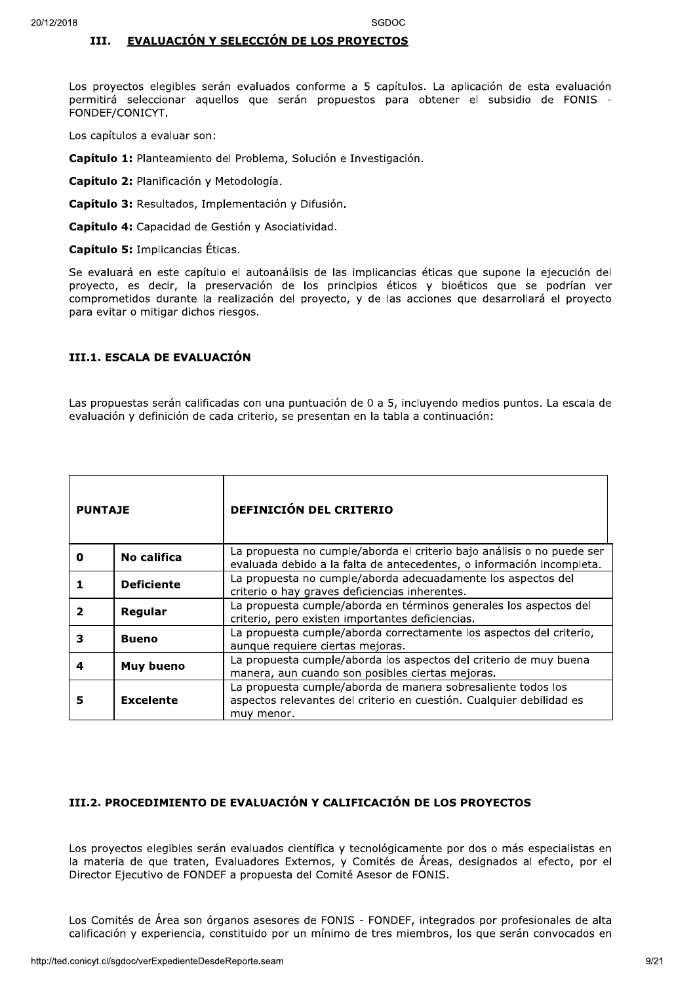#### EVALUACIÓN Y SELECCIÓN DE LOS PROYECTOS III.

Los proyectos elegibles serán evaluados conforme a 5 capítulos. La aplicación de esta evaluación permitirá seleccionar aquellos que serán propuestos para obtener el subsidio de FONIS -FONDEF/CONICYT.

Los capítulos a evaluar son:

Capítulo 1: Planteamiento del Problema, Solución e Investigación.

Capítulo 2: Planificación y Metodología.

Capítulo 3: Resultados, Implementación y Difusión.

Capítulo 4: Capacidad de Gestión y Asociatividad.

Capítulo 5: Implicancias Éticas.

Se evaluará en este capítulo el autoanálisis de las implicancias éticas que supone la ejecución del proyecto, es decir, la preservación de los principios éticos y bioéticos que se podrían ver comprometidos durante la realización del proyecto, y de las acciones que desarrollará el proyecto para evitar o mitigar dichos riesgos.

#### III.1. ESCALA DE EVALUACIÓN

Las propuestas serán calificadas con una puntuación de 0 a 5, incluyendo medios puntos. La escala de evaluación y definición de cada criterio, se presentan en la tabla a continuación:

| <b>PUNTAJE</b> |                   | <b>DEFINICIÓN DEL CRITERIO</b>                                                                                                                     |  |
|----------------|-------------------|----------------------------------------------------------------------------------------------------------------------------------------------------|--|
| 0              | No califica       | La propuesta no cumple/aborda el criterio bajo análisis o no puede ser<br>evaluada debido a la falta de antecedentes, o información incompleta.    |  |
|                | <b>Deficiente</b> | La propuesta no cumple/aborda adecuadamente los aspectos del<br>criterio o hay graves deficiencias inherentes.                                     |  |
|                | Regular           | La propuesta cumple/aborda en términos generales los aspectos del<br>criterio, pero existen importantes deficiencias.                              |  |
| З              | <b>Bueno</b>      | La propuesta cumple/aborda correctamente los aspectos del criterio,<br>aunque requiere ciertas mejoras.                                            |  |
| 4              | Muy bueno         | La propuesta cumple/aborda los aspectos del criterio de muy buena<br>manera, aun cuando son posibles ciertas mejoras.                              |  |
| 5              | <b>Excelente</b>  | La propuesta cumple/aborda de manera sobresaliente todos los<br>aspectos relevantes del criterio en cuestión. Cualquier debilidad es<br>muy menor. |  |

## III.2. PROCEDIMIENTO DE EVALUACIÓN Y CALIFICACIÓN DE LOS PROYECTOS

Los proyectos elegibles serán evaluados científica y tecnológicamente por dos o más especialistas en la materia de que traten, Evaluadores Externos, y Comités de Áreas, designados al efecto, por el Director Ejecutivo de FONDEF a propuesta del Comité Asesor de FONIS.

Los Comités de Área son órganos asesores de FONIS - FONDEF, integrados por profesionales de alta calificación y experiencia, constituido por un mínimo de tres miembros, los que serán convocados en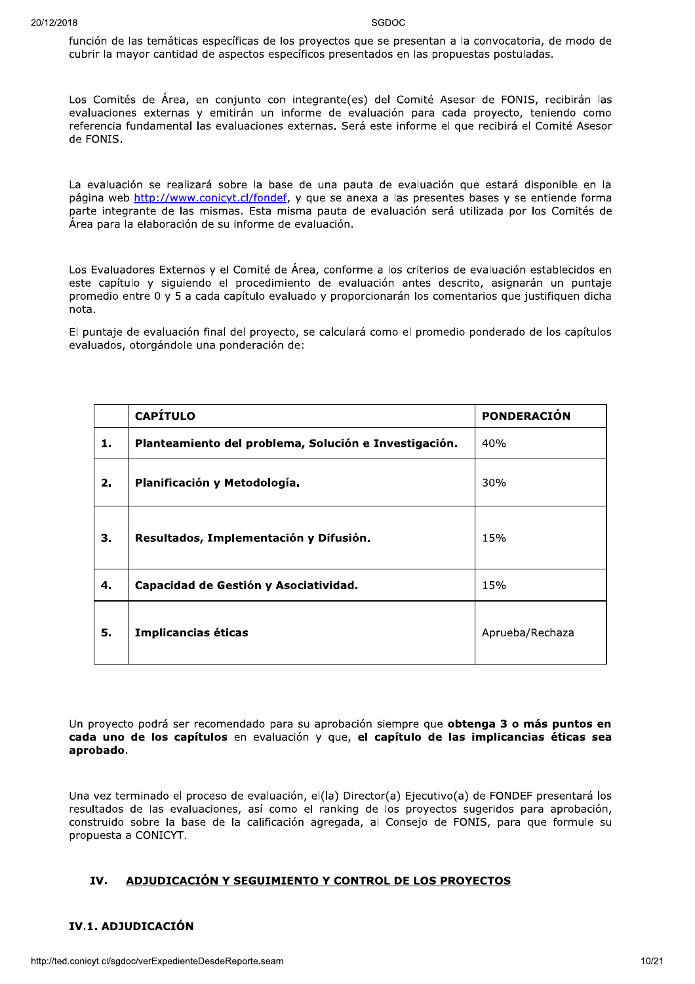función de las temáticas específicas de los proyectos que se presentan a la convocatoria, de modo de cubrir la mayor cantidad de aspectos específicos presentados en las propuestas postuladas.

Los Comités de Área, en conjunto con integrante(es) del Comité Asesor de FONIS, recibirán las evaluaciones externas y emitirán un informe de evaluación para cada proyecto, teniendo como referencia fundamental las evaluaciones externas. Será este informe el que recibirá el Comité Asesor de FONIS.

La evaluación se realizará sobre la base de una pauta de evaluación que estará disponible en la página web http://www.conicyt.cl/fondef, y que se anexa a las presentes bases y se entiende forma parte integrante de las mismas. Esta misma pauta de evaluación será utilizada por los Comités de Área para la elaboración de su informe de evaluación.

Los Evaluadores Externos y el Comité de Área, conforme a los criterios de evaluación establecidos en este capítulo y siguiendo el procedimiento de evaluación antes descrito, asignarán un puntaje promedio entre 0 y 5 a cada capítulo evaluado y proporcionarán los comentarios que justifiquen dicha nota.

El puntaje de evaluación final del proyecto, se calculará como el promedio ponderado de los capítulos evaluados, otorgándole una ponderación de:

|    | <b>CAPÍTULO</b>                                       | <b>PONDERACIÓN</b> |
|----|-------------------------------------------------------|--------------------|
| 1. | Planteamiento del problema, Solución e Investigación. | 40%                |
| 2. | Planificación y Metodología.                          | 30%                |
| З. | Resultados, Implementación y Difusión.                | 15%                |
| 4. | Capacidad de Gestión y Asociatividad.                 | 15%                |
| 5. | Implicancias éticas                                   | Aprueba/Rechaza    |

Un proyecto podrá ser recomendado para su aprobación siempre que **obtenga 3 o más puntos en** cada uno de los capítulos en evaluación y que, el capítulo de las implicancias éticas sea aprobado.

Una vez terminado el proceso de evaluación, el(la) Director(a) Ejecutivo(a) de FONDEF presentará los resultados de las evaluaciones, así como el ranking de los proyectos sugeridos para aprobación, construido sobre la base de la calificación agregada, al Consejo de FONIS, para que formule su propuesta a CONICYT.

#### IV. ADJUDICACIÓN Y SEGUIMIENTO Y CONTROL DE LOS PROYECTOS

#### IV.1. ADJUDICACIÓN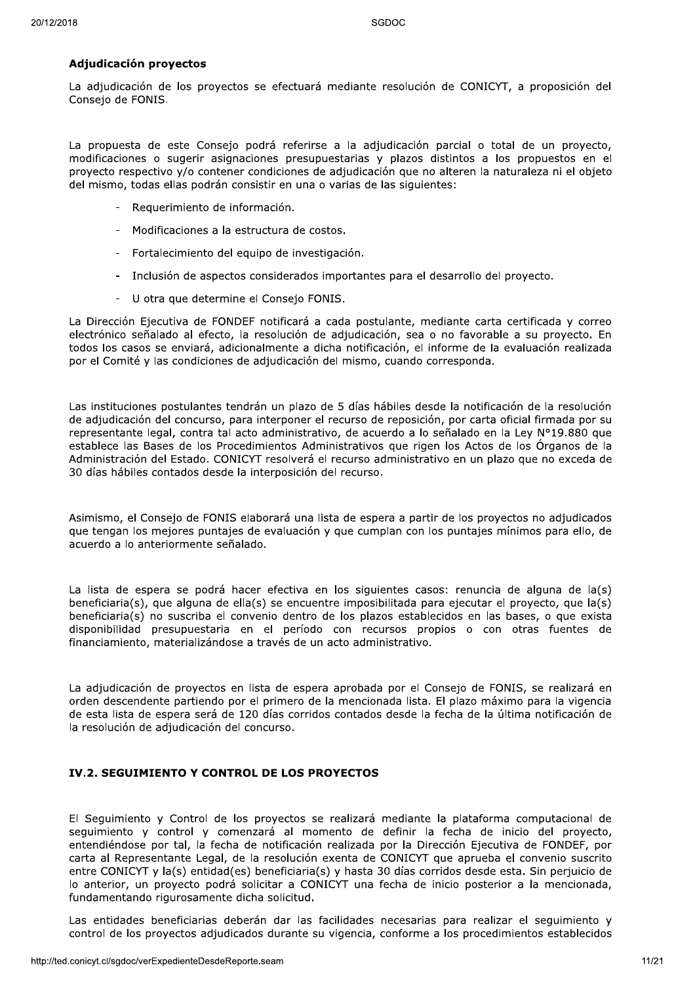SGDOC<br> **Adjudicación proyectos**<br>
La adjudicación de los proyectos se efectuará mediante resolución de CONICYT, a proposición del<br>
Consejo de FONIS.<br>
La propuesta de este Consejo podrá referirse a la adjudicación parcial o La propuesta de este Consejo podrá referirse a la adjudicación parcial o total de un proyecto, modificaciones o sugerir asignaciones presupuestarias y plazos distintos a los propuestos en el proyecto respectivo y/o contener condiciones de adjudicación que no alteren la naturaleza ni el objeto del mismo, todas ellas podrán consistir en una o varias de las siguientes:

- Requerimiento de información.
- Modificaciones a la estructura de costos.
- Fortalecimiento del equipo de investigación.
- Inclusión de aspectos considerados importantes para el desarrollo del proyecto.
- U otra que determine el Consejo FONIS.

La Dirección Ejecutiva de FONDEF notificará a cada postulante, mediante carta certificada y correo electrónico señalado al efecto, la resolución de adjudicación, sea o no favorable a su proyecto. En todos los casos se enviará, adicionalmente a dicha notificación, el informe de la evaluación realizada por el Comité y las condiciones de adjudicación del mismo, cuando corresponda.

Las instituciones postulantes tendrán un plazo de 5 días hábiles desde la notificación de la resolución de adjudicación del concurso, para interponer el recurso de reposición, por carta oficial firmada por su representante legal, contra tal acto administrativo, de acuerdo a lo señalado en la Ley N°19.880 que establece las Bases de los Procedimientos Administrativos que rigen los Actos de los Órganos de la Administración del Estado. CONICYT resolverá el recurso administrativo en un plazo que no exceda de 30 días hábiles contados desde la interposición del recurso.

Asimismo, el Consejo de FONIS elaborará una lista de espera a partir de los proyectos no adjudicados que tengan los mejores puntajes de evaluación y que cumplan con los puntajes mínimos para ello, de acuerdo a lo anteriormente señalado.

La lista de espera se podrá hacer efectiva en los siguientes casos: renuncia de alguna de la(s)  $b$ eneficiaria(s), que alguna de ella(s) se encuentre imposibilitada para ejecutar el proyecto, que la(s) beneficiaria(s) no suscriba el convenio dentro de los plazos establecidos en las bases, o que exista disponibilidad presupuestaria en el período con recursos propios o con otras fuentes de financiamiento, materializándose a través de un acto administrativo.

La adjudicación de proyectos en lista de espera aprobada por el Consejo de FONIS, se realizará en orden descendente partiendo por el primero de la mencionada lista. El plazo máximo para la vigencia de esta lista de espera será de 120 días corridos contados desde la fecha de la última notificación de la resolución de adjudicación del concurso.

## IV.2. SEGUIMIENTO Y CONTROL DE LOS PROYECTOS

El Seguimiento y Control de los proyectos se realizará mediante la plataforma computacional de seguimiento y control y comenzará al momento de definir la fecha de inicio del proyecto, entendiéndose por tal, la fecha de notificación realizada por la Dirección Ejecutiva de FONDEF, por carta al Representante Legal, de la resolución exenta de CONICYT que aprueba el convenio suscrito entre CONICYT y la(s) entidad(es) beneficiaria(s) y hasta 30 días corridos desde esta. Sin perjuicio de lo anterior, un proyecto podrá solicitar a CONICYT una fecha de inicio posterior a la mencionada, fundamentando rigurosamente dicha solicitud.

Las entidades beneficiarias deberán dar las facilidades necesarias para realizar el seguimiento y control de los proyectos adjudicados durante su vigencia, conforme a los procedimientos establecidos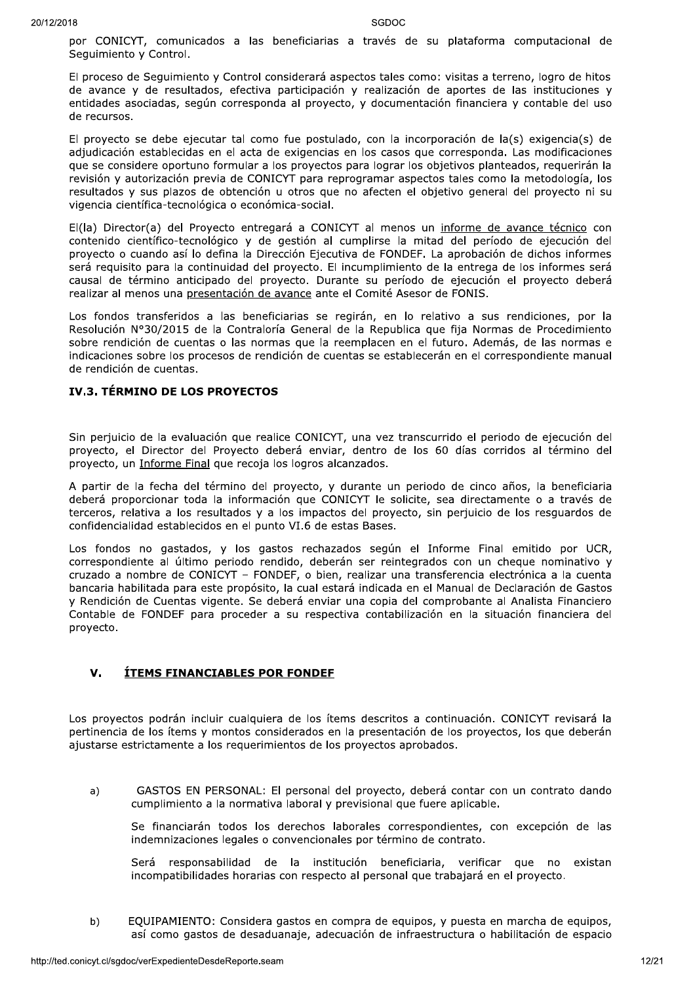por CONICYT, comunicados a las beneficiarias a través de su plataforma computacional de Seguimiento y Control.

El proceso de Sequimiento y Control considerará aspectos tales como: visitas a terreno, logro de hitos de avance y de resultados, efectiva participación y realización de aportes de las instituciones y entidades asociadas, según corresponda al proyecto, y documentación financiera y contable del uso de recursos.

El proyecto se debe ejecutar tal como fue postulado, con la incorporación de la(s) exigencia(s) de adjudicación establecidas en el acta de exigencias en los casos que corresponda. Las modificaciones que se considere oportuno formular a los proyectos para lograr los objetivos planteados, requerirán la revisión y autorización previa de CONICYT para reprogramar aspectos tales como la metodología, los resultados y sus plazos de obtención u otros que no afecten el objetivo general del proyecto ni su vigencia científica-tecnológica o económica-social.

El(la) Director(a) del Proyecto entregará a CONICYT al menos un informe de avance técnico con contenido científico-tecnológico y de gestión al cumplirse la mitad del período de ejecución del proyecto o cuando así lo defina la Dirección Ejecutiva de FONDEF. La aprobación de dichos informes será requisito para la continuidad del proyecto. El incumplimiento de la entrega de los informes será causal de término anticipado del proyecto. Durante su período de ejecución el proyecto deberá realizar al menos una presentación de avance ante el Comité Asesor de FONIS.

Los fondos transferidos a las beneficiarias se regirán, en lo relativo a sus rendiciones, por la Resolución Nº30/2015 de la Contraloría General de la Republica que fija Normas de Procedimiento sobre rendición de cuentas o las normas que la reemplacen en el futuro. Además, de las normas e indicaciones sobre los procesos de rendición de cuentas se establecerán en el correspondiente manual de rendición de cuentas.

## IV.3. TÉRMINO DE LOS PROYECTOS

Sin perjuicio de la evaluación que realice CONICYT, una vez transcurrido el periodo de ejecución del proyecto, el Director del Proyecto deberá enviar, dentro de los 60 días corridos al término del proyecto, un Informe Final que recoja los logros alcanzados.

A partir de la fecha del término del proyecto, y durante un periodo de cinco años, la beneficiaria deberá proporcionar toda la información que CONICYT le solicite, sea directamente o a través de terceros, relativa a los resultados y a los impactos del proyecto, sin perjuicio de los resquardos de confidencialidad establecidos en el punto VI.6 de estas Bases.

Los fondos no gastados, y los gastos rechazados según el Informe Final emitido por UCR, correspondiente al último periodo rendido, deberán ser reintegrados con un cheque nominativo y cruzado a nombre de CONICYT - FONDEF, o bien, realizar una transferencia electrónica a la cuenta bancaria habilitada para este propósito, la cual estará indicada en el Manual de Declaración de Gastos y Rendición de Cuentas vigente. Se deberá enviar una copia del comprobante al Analista Financiero Contable de FONDEF para proceder a su respectiva contabilización en la situación financiera del proyecto.

#### **ÍTEMS FINANCIABLES POR FONDEF**  $\mathbf{V}$

Los provectos podrán incluir cualquiera de los ítems descritos a continuación. CONICYT revisará la pertinencia de los ítems y montos considerados en la presentación de los provectos, los que deberán ajustarse estrictamente a los requerimientos de los proyectos aprobados.

GASTOS EN PERSONAL: El personal del provecto, deberá contar con un contrato dando  $a)$ cumplimiento a la normativa laboral y previsional que fuere aplicable.

Se financiarán todos los derechos laborales correspondientes, con excepción de las indemnizaciones legales o convencionales por término de contrato.

Será responsabilidad de la institución beneficiaria, verificar que no existan incompatibilidades horarias con respecto al personal que trabajará en el proyecto.

 $b)$ EQUIPAMIENTO: Considera gastos en compra de equipos, y puesta en marcha de equipos, así como gastos de desaduanaje, adecuación de infraestructura o habilitación de espacio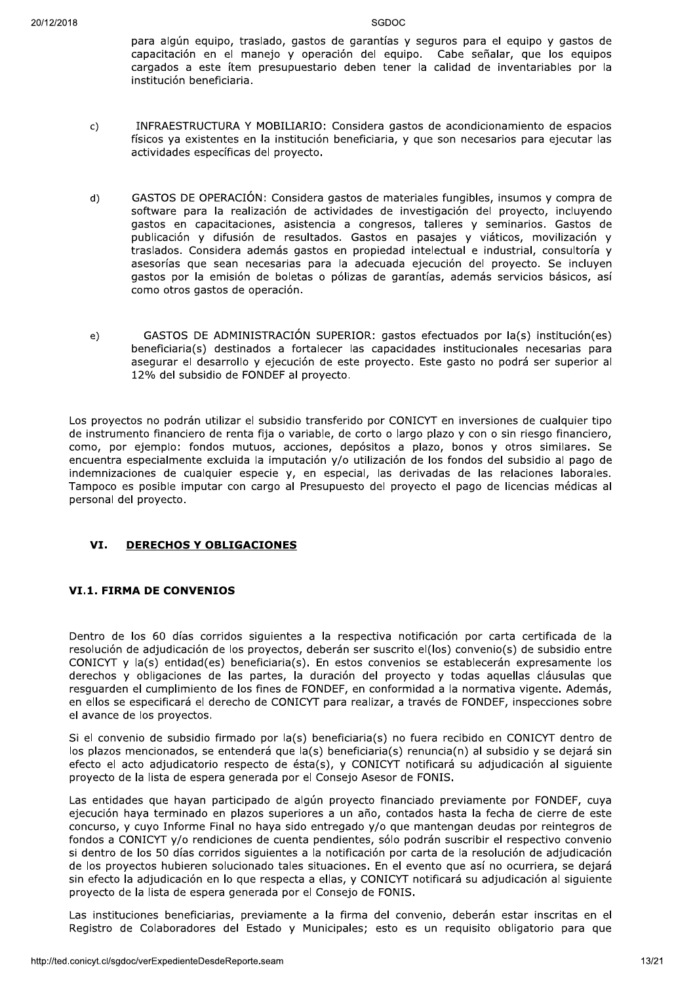para algún equipo, traslado, gastos de garantías y seguros para el equipo y gastos de capacitación en el manejo y operación del equipo. Cabe señalar, que los equipos cargados a este ítem presupuestario deben tener la calidad de inventariables por la institución beneficiaria.

- INFRAESTRUCTURA Y MOBILIARIO: Considera gastos de acondicionamiento de espacios  $\mathsf{c}$ físicos ya existentes en la institución beneficiaria, y que son necesarios para ejecutar las actividades específicas del proyecto.
- GASTOS DE OPERACIÓN: Considera gastos de materiales fungibles, insumos y compra de  $d)$ software para la realización de actividades de investigación del proyecto, incluyendo gastos en capacitaciones, asistencia a congresos, talleres y seminarios. Gastos de publicación y difusión de resultados. Gastos en pasajes y viáticos, movilización y traslados. Considera además gastos en propiedad intelectual e industrial, consultoría y asesorías que sean necesarias para la adecuada ejecución del proyecto. Se incluyen gastos por la emisión de boletas o pólizas de garantías, además servicios básicos, así como otros gastos de operación.
- GASTOS DE ADMINISTRACIÓN SUPERIOR: gastos efectuados por la(s) institución(es)  $e)$ beneficiaria(s) destinados a fortalecer las capacidades institucionales necesarias para asegurar el desarrollo y ejecución de este proyecto. Este gasto no podrá ser superior al 12% del subsidio de FONDEF al proyecto.

Los proyectos no podrán utilizar el subsidio transferido por CONICYT en inversiones de cualquier tipo de instrumento financiero de renta fija o variable, de corto o largo plazo y con o sin riesgo financiero, como, por ejemplo: fondos mutuos, acciones, depósitos a plazo, bonos y otros similares. Se encuentra especialmente excluida la imputación y/o utilización de los fondos del subsidio al pago de indemnizaciones de cualquier especie y, en especial, las derivadas de las relaciones laborales. Tampoco es posible imputar con cargo al Presupuesto del proyecto el pago de licencias médicas al personal del proyecto.

#### VI. **DERECHOS Y OBLIGACIONES**

## **VI.1. FIRMA DE CONVENIOS**

Dentro de los 60 días corridos siguientes a la respectiva notificación por carta certificada de la resolución de adjudicación de los provectos, deberán ser suscrito el(los) convenio(s) de subsidio entre CONICYT y la(s) entidad(es) beneficiaria(s). En estos convenios se establecerán expresamente los derechos y obligaciones de las partes, la duración del proyecto y todas aquellas cláusulas que resquarden el cumplimiento de los fines de FONDEF, en conformidad a la normativa vigente. Además, en ellos se especificará el derecho de CONICYT para realizar, a través de FONDEF, inspecciones sobre el avance de los provectos.

Si el convenio de subsidio firmado por la(s) beneficiaria(s) no fuera recibido en CONICYT dentro de los plazos mencionados, se entenderá que la(s) beneficiaria(s) renuncia(n) al subsidio y se dejará sin efecto el acto adiudicatorio respecto de ésta(s), y CONICYT notificará su adiudicación al siguiente provecto de la lista de espera generada por el Consejo Asesor de FONIS.

Las entidades que hayan participado de algún provecto financiado previamente por FONDEF, cuya ejecución hava terminado en plazos superiores a un año, contados hasta la fecha de cierre de este concurso, y cuvo Informe Final no hava sido entregado y/o que mantengan deudas por reintegros de fondos a CONICYT y/o rendiciones de cuenta pendientes, sólo podrán suscribir el respectivo convenio si dentro de los 50 días corridos siguientes a la notificación por carta de la resolución de adiudicación de los provectos hubieren solucionado tales situaciones. En el evento que así no ocurriera, se dejará sin efecto la adiudicación en lo que respecta a ellas, y CONICYT notificará su adiudicación al siguiente proyecto de la lista de espera generada por el Consejo de FONIS.

Las instituciones beneficiarias, previamente a la firma del convenio, deberán estar inscritas en el Registro de Colaboradores del Estado y Municipales; esto es un reguisito obligatorio para que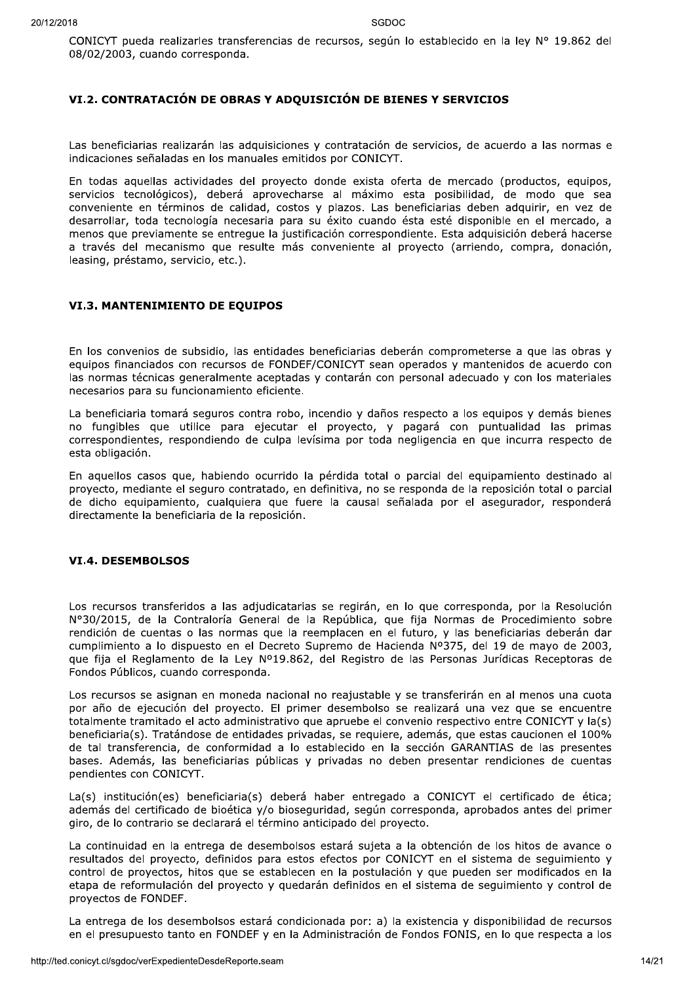CONICYT pueda realizarles transferencias de recursos, según lo establecido en la ley Nº 19.862 del 08/02/2003, cuando corresponda.

## VI.2. CONTRATACIÓN DE OBRAS Y ADQUISICIÓN DE BIENES Y SERVICIOS

Las beneficiarias realizarán las adquisiciones y contratación de servicios, de acuerdo a las normas e indicaciones señaladas en los manuales emitidos por CONICYT.

En todas aquellas actividades del proyecto donde exista oferta de mercado (productos, equipos, servicios tecnológicos), deberá aprovecharse al máximo esta posibilidad, de modo que sea conveniente en términos de calidad, costos y plazos. Las beneficiarias deben adquirir, en vez de desarrollar, toda tecnología necesaria para su éxito cuando ésta esté disponible en el mercado, a menos que previamente se entreque la justificación correspondiente. Esta adquisición deberá hacerse a través del mecanismo que resulte más conveniente al proyecto (arriendo, compra, donación, leasing, préstamo, servicio, etc.).

## **VI.3. MANTENIMIENTO DE EQUIPOS**

En los convenios de subsidio, las entidades beneficiarias deberán comprometerse a que las obras y equipos financiados con recursos de FONDEF/CONICYT sean operados y mantenidos de acuerdo con las normas técnicas generalmente aceptadas y contarán con personal adecuado y con los materiales necesarios para su funcionamiento eficiente.

La beneficiaria tomará seguros contra robo, incendio y daños respecto a los eguipos y demás bienes no fungibles que utilice para ejecutar el proyecto, y pagará con puntualidad las primas correspondientes, respondiendo de culpa levísima por toda negligencia en que incurra respecto de esta obligación.

En aquellos casos que, habiendo ocurrido la pérdida total o parcial del equipamiento destinado al proyecto, mediante el seguro contratado, en definitiva, no se responda de la reposición total o parcial de dicho equipamiento, cualquiera que fuere la causal señalada por el asegurador, responderá directamente la beneficiaria de la reposición.

## **VI.4. DESEMBOLSOS**

Los recursos transferidos a las adjudicatarias se regirán, en lo que corresponda, por la Resolución Nº30/2015, de la Contraloría General de la República, que fija Normas de Procedimiento sobre rendición de cuentas o las normas que la reemplacen en el futuro, y las beneficiarias deberán dar cumplimiento a lo dispuesto en el Decreto Supremo de Hacienda Nº375, del 19 de mayo de 2003, que fija el Reglamento de la Ley Nº19.862, del Registro de las Personas Jurídicas Receptoras de Fondos Públicos, cuando corresponda.

Los recursos se asignan en moneda nacional no reajustable y se transferirán en al menos una cuota por año de ejecución del proyecto. El primer desembolso se realizará una vez que se encuentre totalmente tramitado el acto administrativo que apruebe el convenio respectivo entre CONICYT y la(s) beneficiaria(s). Tratándose de entidades privadas, se requiere, además, que estas caucionen el 100% de tal transferencia, de conformidad a lo establecido en la sección GARANTIAS de las presentes bases. Además, las beneficiarias públicas y privadas no deben presentar rendiciones de cuentas pendientes con CONICYT.

La(s) institución(es) beneficiaria(s) deberá haber entregado a CONICYT el certificado de ética; además del certificado de bioética y/o bioseguridad, según corresponda, aprobados antes del primer giro, de lo contrario se declarará el término anticipado del proyecto.

La continuidad en la entrega de desembolsos estará sujeta a la obtención de los hitos de avance o resultados del proyecto, definidos para estos efectos por CONICYT en el sistema de sequimiento y control de proyectos, hitos que se establecen en la postulación y que pueden ser modificados en la etapa de reformulación del proyecto y quedarán definidos en el sistema de sequimiento y control de proyectos de FONDEF.

La entrega de los desembolsos estará condicionada por: a) la existencia y disponibilidad de recursos en el presupuesto tanto en FONDEF y en la Administración de Fondos FONIS, en lo que respecta a los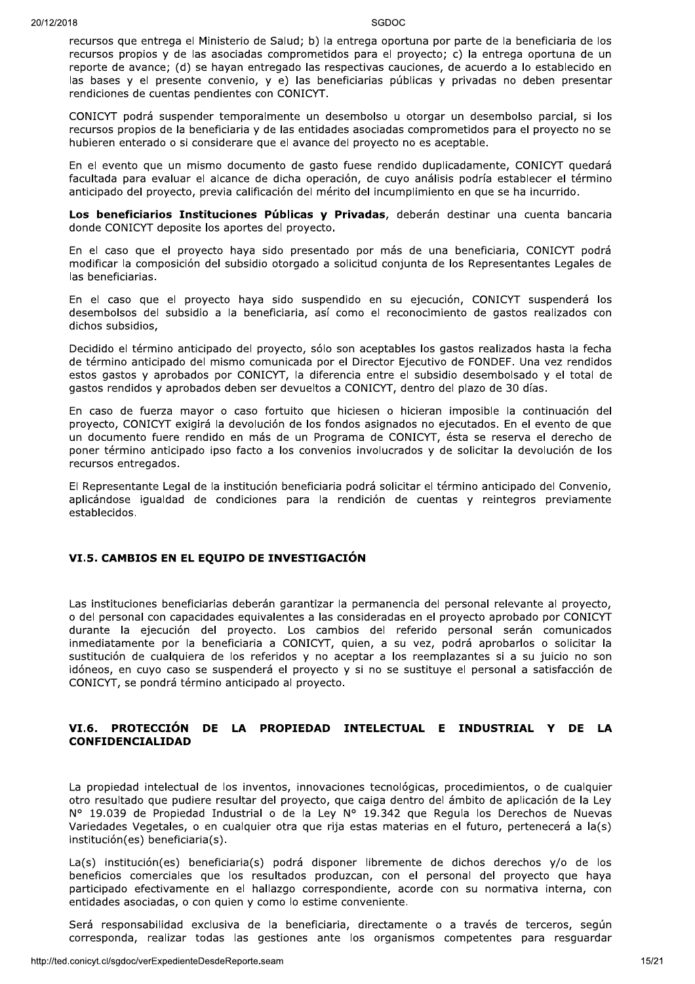recursos que entrega el Ministerio de Salud; b) la entrega oportuna por parte de la beneficiaria de los recursos propios y de las asociadas comprometidos para el proyecto; c) la entrega oportuna de un reporte de avance; (d) se hayan entregado las respectivas cauciones, de acuerdo a lo establecido en las bases y el presente convenio, y e) las beneficiarias públicas y privadas no deben presentar rendiciones de cuentas pendientes con CONICYT.

CONICYT podrá suspender temporalmente un desembolso u otorgar un desembolso parcial, si los recursos propios de la beneficiaria y de las entidades asociadas comprometidos para el proyecto no se hubieren enterado o si considerare que el avance del proyecto no es aceptable.

En el evento que un mismo documento de gasto fuese rendido duplicadamente, CONICYT quedará facultada para evaluar el alcance de dicha operación, de cuyo análisis podría establecer el término anticipado del proyecto, previa calificación del mérito del incumplimiento en que se ha incurrido.

Los beneficiarios Instituciones Públicas y Privadas, deberán destinar una cuenta bancaria donde CONICYT deposite los aportes del proyecto.

En el caso que el proyecto haya sido presentado por más de una beneficiaria, CONICYT podrá modificar la composición del subsidio otorgado a solicitud conjunta de los Representantes Legales de las beneficiarias.

En el caso que el proyecto haya sido suspendido en su ejecución, CONICYT suspenderá los desembolsos del subsidio a la beneficiaria, así como el reconocimiento de gastos realizados con dichos subsidios,

Decidido el término anticipado del proyecto, sólo son aceptables los gastos realizados hasta la fecha de término anticipado del mismo comunicada por el Director Ejecutivo de FONDEF. Una vez rendidos estos gastos y aprobados por CONICYT, la diferencia entre el subsidio desembolsado y el total de gastos rendidos y aprobados deben ser devueltos a CONICYT, dentro del plazo de 30 días.

En caso de fuerza mayor o caso fortuito que hiciesen o hicieran imposible la continuación del proyecto, CONICYT exigirá la devolución de los fondos asignados no ejecutados. En el evento de que un documento fuere rendido en más de un Programa de CONICYT, ésta se reserva el derecho de poner término anticipado ipso facto a los convenios involucrados y de solicitar la devolución de los recursos entregados.

El Representante Legal de la institución beneficiaria podrá solicitar el término anticipado del Convenio, aplicándose igualdad de condiciones para la rendición de cuentas y reintegros previamente establecidos.

#### VI.5. CAMBIOS EN EL EOUIPO DE INVESTIGACIÓN

Las instituciones beneficiarias deberán garantizar la permanencia del personal relevante al proyecto, o del personal con capacidades equivalentes a las consideradas en el proyecto aprobado por CONICYT durante la ejecución del proyecto. Los cambios del referido personal serán comunicados inmediatamente por la beneficiaria a CONICYT, quien, a su vez, podrá aprobarlos o solicitar la sustitución de cualquiera de los referidos y no aceptar a los reemplazantes si a su juicio no son idóneos, en cuyo caso se suspenderá el proyecto y si no se sustituye el personal a satisfacción de CONICYT, se pondrá término anticipado al proyecto.

#### VI.6. PROTECCIÓN DE LA PROPIEDAD INTELECTUAL E INDUSTRIAL Y DE LA **CONFIDENCIALIDAD**

La propiedad intelectual de los inventos, innovaciones tecnológicas, procedimientos, o de cualquier otro resultado que pudiere resultar del provecto, que caiga dentro del ámbito de aplicación de la Lev Nº 19.039 de Propiedad Industrial o de la Ley Nº 19.342 que Regula los Derechos de Nuevas Variedades Vegetales, o en cualquier otra que rija estas materias en el futuro, pertenecerá a la(s) institución(es) beneficiaria(s).

La(s) institución(es) beneficiaria(s) podrá disponer libremente de dichos derechos y/o de los beneficios comerciales que los resultados produzcan, con el personal del proyecto que haya participado efectivamente en el hallazgo correspondiente, acorde con su normativa interna, con entidades asociadas, o con quien y como lo estime conveniente.

Será responsabilidad exclusiva de la beneficiaria, directamente o a través de terceros, según corresponda, realizar todas las gestiones ante los organismos competentes para resguardar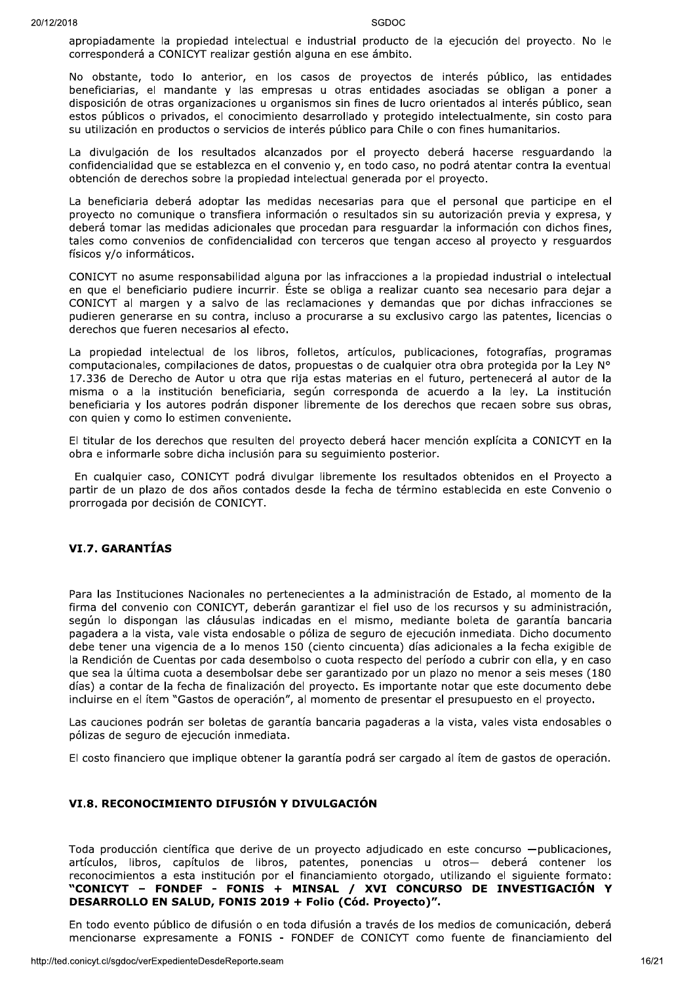apropiadamente la propiedad intelectual e industrial producto de la ejecución del proyecto. No le corresponderá a CONICYT realizar gestión alguna en ese ámbito.

No obstante, todo lo anterior, en los casos de proyectos de interés público, las entidades beneficiarias, el mandante y las empresas u otras entidades asociadas se obligan a poner a disposición de otras organizaciones u organismos sin fines de lucro orientados al interés público, sean estos públicos o privados, el conocimiento desarrollado y protegido intelectualmente, sin costo para su utilización en productos o servicios de interés público para Chile o con fines humanitarios.

La divulgación de los resultados alcanzados por el proyecto deberá hacerse resguardando la confidencialidad que se establezca en el convenio y, en todo caso, no podrá atentar contra la eventual obtención de derechos sobre la propiedad intelectual generada por el proyecto.

La beneficiaria deberá adoptar las medidas necesarias para que el personal que participe en el proyecto no comunique o transfiera información o resultados sin su autorización previa y expresa, y deberá tomar las medidas adicionales que procedan para resquardar la información con dichos fines, tales como convenios de confidencialidad con terceros que tengan acceso al proyecto y resguardos físicos y/o informáticos.

CONICYT no asume responsabilidad alguna por las infracciones a la propiedad industrial o intelectual en que el beneficiario pudiere incurrir. Éste se obliga a realizar cuanto sea necesario para dejar a CONICYT al margen y a salvo de las reclamaciones y demandas que por dichas infracciones se pudieren generarse en su contra, incluso a procurarse a su exclusivo cargo las patentes, licencias o derechos que fueren necesarios al efecto.

La propiedad intelectual de los libros, folletos, artículos, publicaciones, fotografías, programas computacionales, compilaciones de datos, propuestas o de cualquier otra obra protegida por la Ley N° 17.336 de Derecho de Autor u otra que rija estas materias en el futuro, pertenecerá al autor de la misma o a la institución beneficiaria, según corresponda de acuerdo a la ley. La institución beneficiaria y los autores podrán disponer libremente de los derechos que recaen sobre sus obras, con quien y como lo estimen conveniente.

El titular de los derechos que resulten del proyecto deberá hacer mención explícita a CONICYT en la obra e informarle sobre dicha inclusión para su seguimiento posterior.

En cualquier caso, CONICYT podrá divulgar libremente los resultados obtenidos en el Proyecto a partir de un plazo de dos años contados desde la fecha de término establecida en este Convenio o prorrogada por decisión de CONICYT.

## **VI.7. GARANTÍAS**

Para las Instituciones Nacionales no pertenecientes a la administración de Estado, al momento de la firma del convenio con CONICYT, deberán garantizar el fiel uso de los recursos y su administración, según lo dispongan las cláusulas indicadas en el mismo, mediante boleta de garantía bancaria pagadera a la vista, vale vista endosable o póliza de seguro de ejecución inmediata. Dicho documento debe tener una vigencia de a lo menos 150 (ciento cincuenta) días adicionales a la fecha exigible de la Rendición de Cuentas por cada desembolso o cuota respecto del período a cubrir con ella, y en caso que sea la última cuota a desembolsar debe ser garantizado por un plazo no menor a seis meses (180 días) a contar de la fecha de finalización del proyecto. Es importante notar que este documento debe incluirse en el ítem "Gastos de operación", al momento de presentar el presupuesto en el provecto.

Las cauciones podrán ser boletas de garantía bancaria pagaderas a la vista, vales vista endosables o pólizas de seguro de ejecución inmediata.

El costo financiero que implique obtener la garantía podrá ser cargado al ítem de gastos de operación.

#### VI.8. RECONOCIMIENTO DIFUSIÓN Y DIVULGACIÓN

Toda producción científica que derive de un proyecto adjudicado en este concurso -publicaciones, artículos, libros, capítulos de libros, patentes, ponencias u otros- deberá contener los reconocimientos a esta institución por el financiamiento otorgado, utilizando el siguiente formato: "CONICYT – FONDEF - FONIS + MINSAL / XVI CONCURSO DE INVESTIGACIÓN Y DESARROLLO EN SALUD, FONIS 2019 + Folio (Cód. Proyecto)".

En todo evento público de difusión o en toda difusión a través de los medios de comunicación, deberá mencionarse expresamente a FONIS - FONDEF de CONICYT como fuente de financiamiento del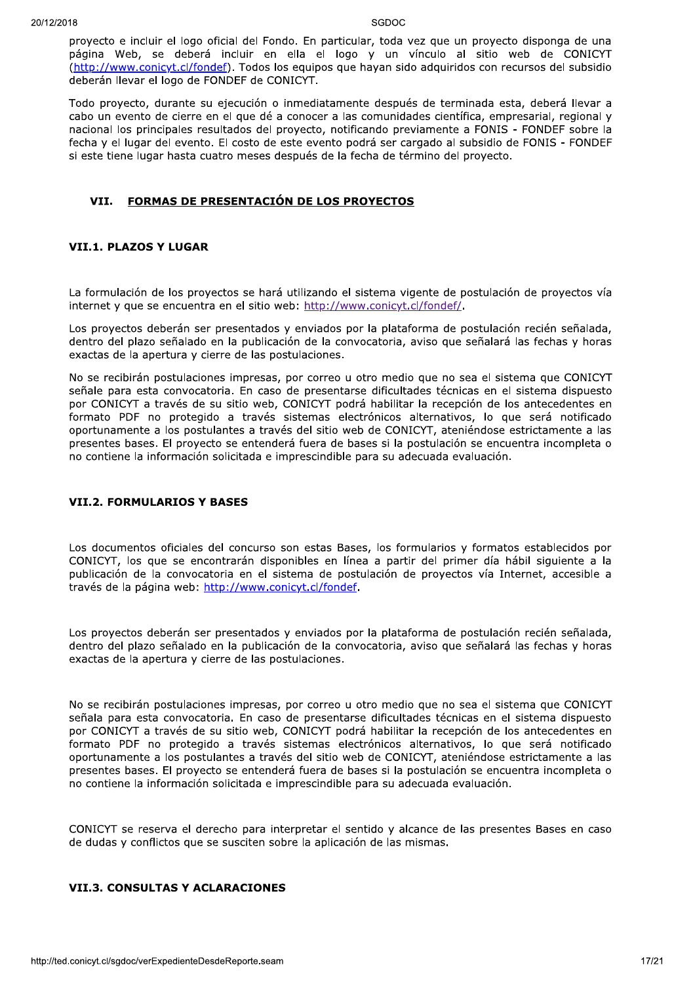proyecto e incluir el logo oficial del Fondo. En particular, toda vez que un proyecto disponga de una página Web, se deberá incluir en ella el logo y un vínculo al sitio web de CONICYT (http://www.conicyt.cl/fondef). Todos los equipos que hayan sido adquiridos con recursos del subsidio deberán llevar el logo de FONDEF de CONICYT.

Todo proyecto, durante su ejecución o inmediatamente después de terminada esta, deberá llevar a cabo un evento de cierre en el que dé a conocer a las comunidades científica, empresarial, regional y nacional los principales resultados del proyecto, notificando previamente a FONIS - FONDEF sobre la fecha y el lugar del evento. El costo de este evento podrá ser cargado al subsidio de FONIS - FONDEF si este tiene lugar hasta cuatro meses después de la fecha de término del proyecto.

#### VII. FORMAS DE PRESENTACIÓN DE LOS PROYECTOS

#### **VII.1. PLAZOS Y LUGAR**

La formulación de los provectos se hará utilizando el sistema vigente de postulación de proyectos vía internet y que se encuentra en el sitio web: http://www.conicyt.cl/fondef/.

Los proyectos deberán ser presentados y enviados por la plataforma de postulación recién señalada, dentro del plazo señalado en la publicación de la convocatoria, aviso que señalará las fechas y horas exactas de la apertura y cierre de las postulaciones.

No se recibirán postulaciones impresas, por correo u otro medio que no sea el sistema que CONICYT señale para esta convocatoria. En caso de presentarse dificultades técnicas en el sistema dispuesto por CONICYT a través de su sitio web, CONICYT podrá habilitar la recepción de los antecedentes en formato PDF no protegido a través sistemas electrónicos alternativos, lo que será notificado oportunamente a los postulantes a través del sitio web de CONICYT, ateniéndose estrictamente a las presentes bases. El proyecto se entenderá fuera de bases si la postulación se encuentra incompleta o no contiene la información solicitada e imprescindible para su adecuada evaluación.

#### **VII.2. FORMULARIOS Y BASES**

Los documentos oficiales del concurso son estas Bases, los formularios y formatos establecidos por CONICYT, los que se encontrarán disponibles en línea a partir del primer día hábil siguiente a la publicación de la convocatoria en el sistema de postulación de provectos vía Internet, accesible a través de la página web: http://www.conicyt.cl/fondef.

Los proyectos deberán ser presentados y enviados por la plataforma de postulación recién señalada, dentro del plazo señalado en la publicación de la convocatoria, aviso que señalará las fechas y horas exactas de la apertura y cierre de las postulaciones.

No se recibirán postulaciones impresas, por correo u otro medio que no sea el sistema que CONICYT señala para esta convocatoria. En caso de presentarse dificultades técnicas en el sistema dispuesto por CONICYT a través de su sitio web, CONICYT podrá habilitar la recepción de los antecedentes en formato PDF no protegido a través sistemas electrónicos alternativos, lo que será notificado oportunamente a los postulantes a través del sitio web de CONICYT, ateniéndose estrictamente a las presentes bases. El proyecto se entenderá fuera de bases si la postulación se encuentra incompleta o no contiene la información solicitada e imprescindible para su adecuada evaluación.

CONICYT se reserva el derecho para interpretar el sentido y alcance de las presentes Bases en caso de dudas y conflictos que se susciten sobre la aplicación de las mismas.

## **VII.3. CONSULTAS Y ACLARACIONES**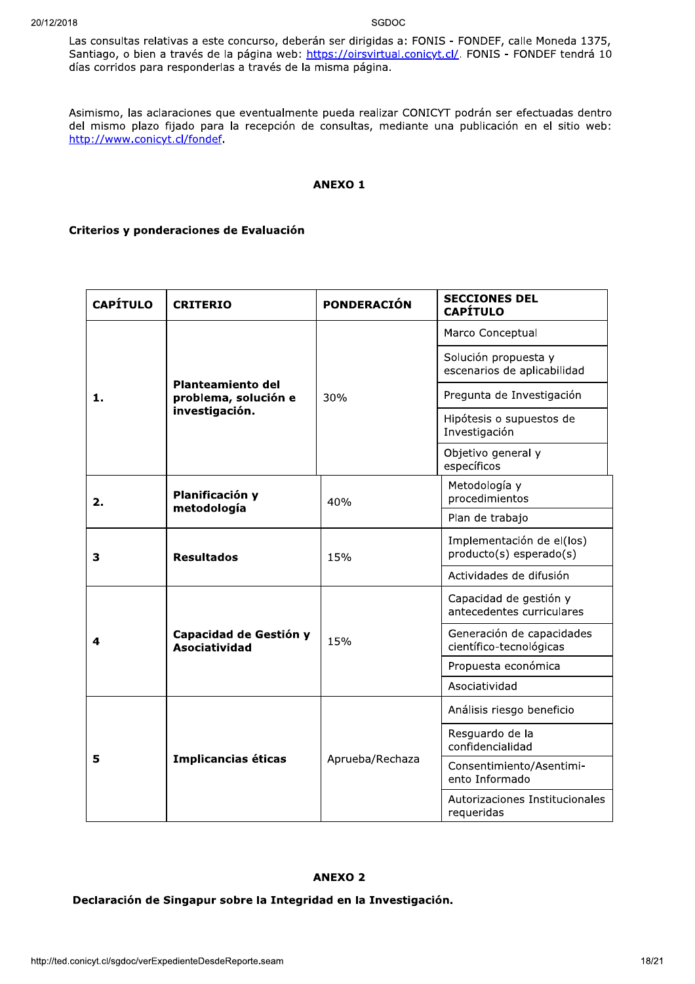Las consultas relativas a este concurso, deberán ser dirigidas a: FONIS - FONDEF, calle Moneda 1375, Santiago, o bien a través de la página web: https://oirsvirtual.conicyt.cl/. FONIS - FONDEF tendrá 10 días corridos para responderlas a través de la misma página.

Asimismo, las aclaraciones que eventualmente pueda realizar CONICYT podrán ser efectuadas dentro del mismo plazo fijado para la recepción de consultas, mediante una publicación en el sitio web: http://www.conicyt.cl/fondef.

#### **ANEXO1**

#### Criterios y ponderaciones de Evaluación

| <b>CAPÍTULO</b> | <b>CRITERIO</b>                                             | <b>PONDERACIÓN</b> | <b>SECCIONES DEL</b><br><b>CAPÍTULO</b>              |
|-----------------|-------------------------------------------------------------|--------------------|------------------------------------------------------|
|                 |                                                             | 30%                | Marco Conceptual                                     |
|                 |                                                             |                    | Solución propuesta y<br>escenarios de aplicabilidad  |
| 1.              | Planteamiento del<br>problema, solución e<br>investigación. |                    | Pregunta de Investigación                            |
|                 |                                                             |                    | Hipótesis o supuestos de<br>Investigación            |
|                 |                                                             |                    | Objetivo general y<br>específicos                    |
| 2.              | Planificación y<br>metodología                              | 40%                | Metodología y<br>procedimientos                      |
|                 |                                                             |                    | Plan de trabajo                                      |
| 3               | <b>Resultados</b>                                           | 15%                | Implementación de el(los)<br>producto(s) esperado(s) |
|                 |                                                             |                    | Actividades de difusión                              |
|                 |                                                             | 15%                | Capacidad de gestión y<br>antecedentes curriculares  |
| 4               | Capacidad de Gestión y<br><b>Asociatividad</b>              |                    | Generación de capacidades<br>científico-tecnológicas |
|                 |                                                             |                    | Propuesta económica                                  |
|                 |                                                             |                    | Asociatividad                                        |
|                 |                                                             | Aprueba/Rechaza    | Análisis riesgo beneficio                            |
|                 |                                                             |                    | Resguardo de la<br>confidencialidad                  |
| 5               | Implicancias éticas                                         |                    | Consentimiento/Asentimi-<br>ento Informado           |
|                 |                                                             |                    | Autorizaciones Institucionales<br>requeridas         |

## **ANEXO 2**

Declaración de Singapur sobre la Integridad en la Investigación.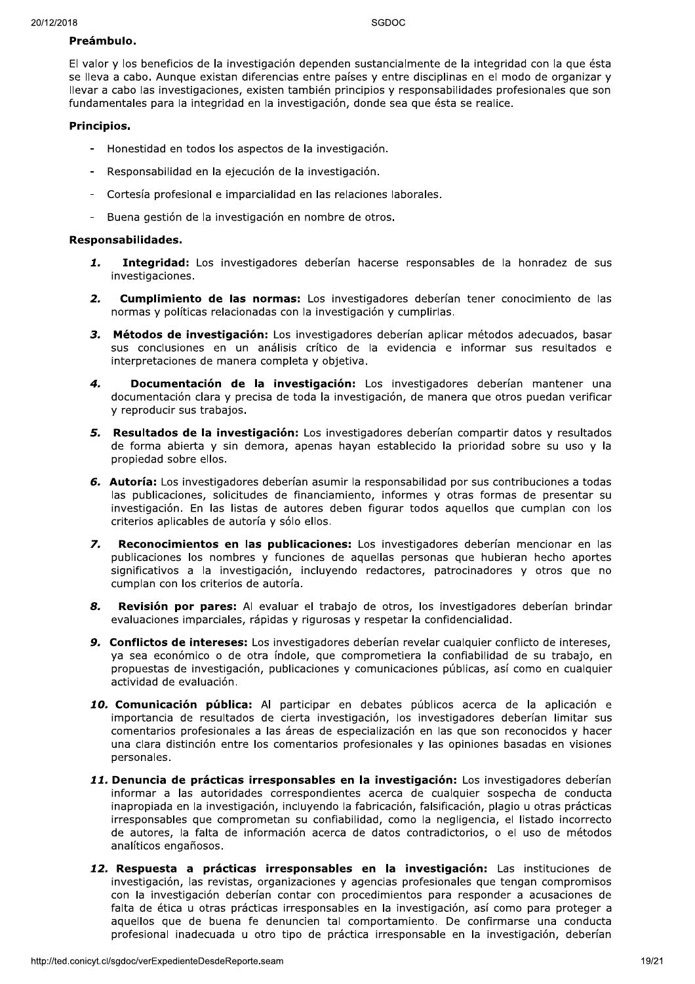#### Preámbulo.

El valor y los beneficios de la investigación dependen sustancialmente de la integridad con la que ésta se lleva a cabo. Aunque existan diferencias entre países y entre disciplinas en el modo de organizar y llevar a cabo las investigaciones, existen también principios y responsabilidades profesionales que son fundamentales para la integridad en la investigación, donde sea que ésta se realice.

#### Principios.

- Honestidad en todos los aspectos de la investigación.
- Responsabilidad en la ejecución de la investigación.
- Cortesía profesional e imparcialidad en las relaciones laborales.
- Buena gestión de la investigación en nombre de otros.

#### Responsabilidades.

- 1. Integridad: Los investigadores deberían hacerse responsables de la honradez de sus investigaciones.
- $2.$ **Cumplimiento de las normas:** Los investigadores deberían tener conocimiento de las normas y políticas relacionadas con la investigación y cumplirlas.
- 3. Métodos de investigación: Los investigadores deberían aplicar métodos adecuados, basar sus conclusiones en un análisis crítico de la evidencia e informar sus resultados e interpretaciones de manera completa y objetiva.
- $\boldsymbol{4}$ . Documentación de la investigación: Los investigadores deberían mantener una documentación clara y precisa de toda la investigación, de manera que otros puedan verificar y reproducir sus trabajos.
- 5. Resultados de la investigación: Los investigadores deberían compartir datos y resultados de forma abierta y sin demora, apenas hayan establecido la prioridad sobre su uso y la propiedad sobre ellos.
- 6. Autoría: Los investigadores deberían asumir la responsabilidad por sus contribuciones a todas las publicaciones, solicitudes de financiamiento, informes y otras formas de presentar su investigación. En las listas de autores deben figurar todos aguellos que cumplan con los criterios aplicables de autoría y sólo ellos.
- Reconocimientos en las publicaciones: Los investigadores deberían mencionar en las 7. publicaciones los nombres y funciones de aquellas personas que hubieran hecho aportes significativos a la investigación, incluvendo redactores, patrocinadores y otros que no cumplan con los criterios de autoría.
- Revisión por pares: Al evaluar el trabajo de otros, los investigadores deberían brindar 8. evaluaciones imparciales, rápidas y rigurosas y respetar la confidencialidad.
- 9. Conflictos de intereses: Los investigadores deberían revelar cualquier conflicto de intereses, ya sea económico o de otra índole, que comprometiera la confiabilidad de su trabajo, en propuestas de investigación, publicaciones y comunicaciones públicas, así como en cualquier actividad de evaluación.
- 10. Comunicación pública: Al participar en debates públicos acerca de la aplicación e importancia de resultados de cierta investigación, los investigadores deberían limitar sus comentarios profesionales a las áreas de especialización en las que son reconocidos y hacer una clara distinción entre los comentarios profesionales y las opiniones basadas en visiones personales.
- 11. Denuncia de prácticas irresponsables en la investigación: Los investigadores deberían informar a las autoridades correspondientes acerca de cualquier sospecha de conducta inapropiada en la investigación, incluyendo la fabricación, falsificación, plagio u otras prácticas irresponsables que comprometan su confiabilidad, como la negligencia, el listado incorrecto de autores, la falta de información acerca de datos contradictorios, o el uso de métodos analíticos engañosos.
- 12. Respuesta a prácticas irresponsables en la investigación: Las instituciones de investigación, las revistas, organizaciones y agencias profesionales que tengan compromisos con la investigación deberían contar con procedimientos para responder a acusaciones de falta de ética u otras prácticas irresponsables en la investigación, así como para proteger a aquellos que de buena fe denuncien tal comportamiento. De confirmarse una conducta profesional inadecuada u otro tipo de práctica irresponsable en la investigación, deberían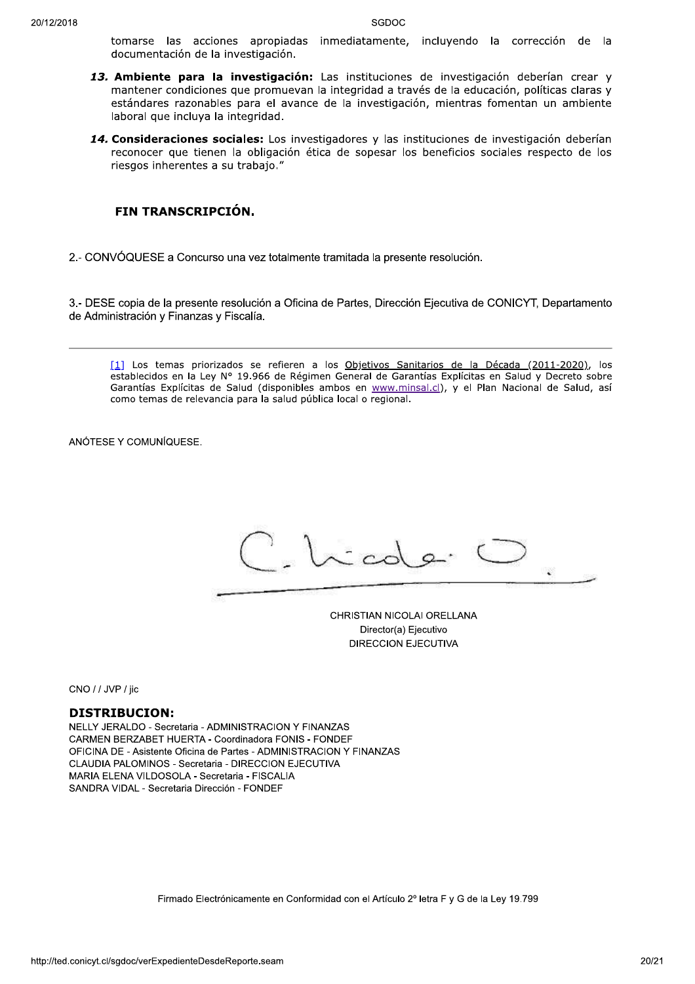tomarse las acciones apropiadas inmediatamente, incluyendo la corrección de la documentación de la investigación.

- 13. Ambiente para la investigación: Las instituciones de investigación deberían crear y mantener condiciones que promuevan la integridad a través de la educación, políticas claras y estándares razonables para el avance de la investigación, mientras fomentan un ambiente laboral que incluya la integridad.
- 14. Consideraciones sociales: Los investigadores y las instituciones de investigación deberían reconocer que tienen la obligación ética de sopesar los beneficios sociales respecto de los riesgos inherentes a su trabajo."

## FIN TRANSCRIPCIÓN.

2.- CONVÓQUESE a Concurso una vez totalmente tramitada la presente resolución.

3.- DESE copia de la presente resolución a Oficina de Partes, Dirección Ejecutiva de CONICYT, Departamento de Administración y Finanzas y Fiscalía.

[1] Los temas priorizados se refieren a los Objetivos Sanitarios de la Década (2011-2020), los establecidos en la Ley Nº 19.966 de Régimen General de Garantías Explícitas en Salud y Decreto sobre Garantías Explícitas de Salud (disponibles ambos en www.minsal.cl), y el Plan Nacional de Salud, así como temas de relevancia para la salud pública local o regional.

ANÓTESE Y COMUNÍQUESE.

 $\frac{1}{2}$ 

CHRISTIAN NICOLAI ORELLANA Director(a) Ejecutivo **DIRECCION EJECUTIVA** 

CNO / / JVP / iic

#### **DISTRIBUCION:**

NELLY JERALDO - Secretaria - ADMINISTRACION Y FINANZAS CARMEN BERZABET HUERTA - Coordinadora FONIS - FONDEF OFICINA DE - Asistente Oficina de Partes - ADMINISTRACION Y FINANZAS CLAUDIA PALOMINOS - Secretaria - DIRECCION EJECUTIVA MARIA ELENA VILDOSOLA - Secretaria - FISCALIA SANDRA VIDAL - Secretaria Dirección - FONDEF

Firmado Electrónicamente en Conformidad con el Artículo 2º letra F y G de la Ley 19.799